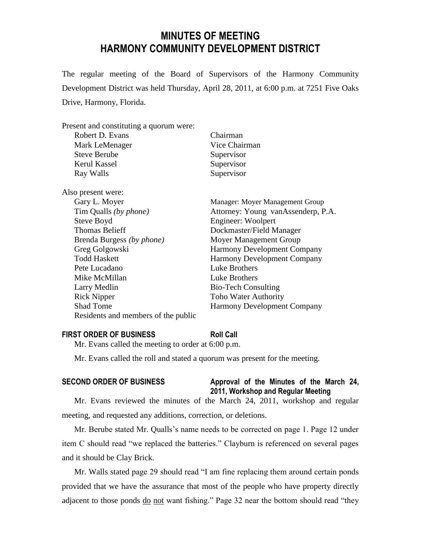# **MINUTES OF MEETING HARMONY COMMUNITY DEVELOPMENT DISTRICT**

The regular meeting of the Board of Supervisors of the Harmony Community Development District was held Thursday, April 28, 2011, at 6:00 p.m. at 7251 Five Oaks Drive, Harmony, Florida.

### Present and constituting a quorum were:

| Robert D. Evans           | Chairman                           |
|---------------------------|------------------------------------|
| Mark LeMenager            | Vice Chairman                      |
| <b>Steve Berube</b>       | Supervisor                         |
| Kerul Kassel              | Supervisor                         |
| Ray Walls                 | Supervisor                         |
| Also present were:        |                                    |
| Gary L. Moyer             | Manager: Moyer Management Group    |
| Tim Qualls (by phone)     | Attorney: Young vanAssenderp, P.A. |
| Steve Boyd                | Engineer: Woolpert                 |
| <b>Thomas Belieff</b>     | Dockmaster/Field Manager           |
| Brenda Burgess (by phone) | Moyer Management Group             |
| Greg Golgowski            | <b>Harmony Development Company</b> |
| <b>Todd Haskett</b>       | <b>Harmony Development Company</b> |
| Pete Lucadano             | Luke Brothers                      |
| Mike McMillan             | Luke Brothers                      |
| Larry Medlin              | <b>Bio-Tech Consulting</b>         |
| <b>Rick Nipper</b>        | <b>Toho Water Authority</b>        |

### **FIRST ORDER OF BUSINESS Roll Call**

Mr. Evans called the meeting to order at 6:00 p.m.

Residents and members of the public

Mr. Evans called the roll and stated a quorum was present for the meeting.

Shad Tome Harmony Development Company

# **SECOND ORDER OF BUSINESS Approval of the Minutes of the March 24, 2011, Workshop and Regular Meeting**

Mr. Evans reviewed the minutes of the March 24, 2011, workshop and regular meeting, and requested any additions, correction, or deletions.

Mr. Berube stated Mr. Qualls's name needs to be corrected on page 1. Page 12 under item C should read "we replaced the batteries." Clayburn is referenced on several pages and it should be Clay Brick.

Mr. Walls stated page 29 should read "I am fine replacing them around certain ponds provided that we have the assurance that most of the people who have property directly adjacent to those ponds do not want fishing." Page 32 near the bottom should read "they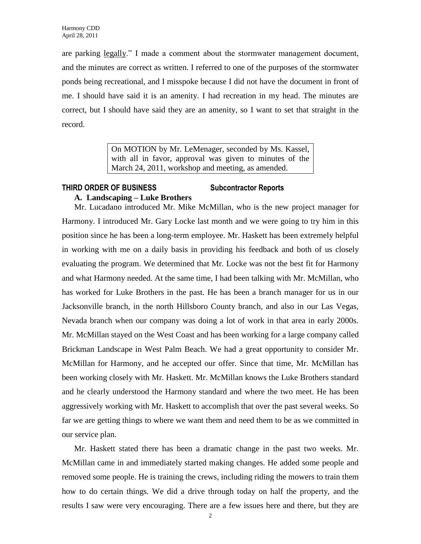are parking legally." I made a comment about the stormwater management document, and the minutes are correct as written. I referred to one of the purposes of the stormwater ponds being recreational, and I misspoke because I did not have the document in front of me. I should have said it is an amenity. I had recreation in my head. The minutes are correct, but I should have said they are an amenity, so I want to set that straight in the record.

> On MOTION by Mr. LeMenager, seconded by Ms. Kassel, with all in favor, approval was given to minutes of the March 24, 2011, workshop and meeting, as amended.

### **THIRD ORDER OF BUSINESS Subcontractor Reports A. Landscaping – Luke Brothers**

Mr. Lucadano introduced Mr. Mike McMillan, who is the new project manager for Harmony. I introduced Mr. Gary Locke last month and we were going to try him in this position since he has been a long-term employee. Mr. Haskett has been extremely helpful in working with me on a daily basis in providing his feedback and both of us closely evaluating the program. We determined that Mr. Locke was not the best fit for Harmony and what Harmony needed. At the same time, I had been talking with Mr. McMillan, who has worked for Luke Brothers in the past. He has been a branch manager for us in our Jacksonville branch, in the north Hillsboro County branch, and also in our Las Vegas, Nevada branch when our company was doing a lot of work in that area in early 2000s. Mr. McMillan stayed on the West Coast and has been working for a large company called Brickman Landscape in West Palm Beach. We had a great opportunity to consider Mr. McMillan for Harmony, and he accepted our offer. Since that time, Mr. McMillan has been working closely with Mr. Haskett. Mr. McMillan knows the Luke Brothers standard and he clearly understood the Harmony standard and where the two meet. He has been aggressively working with Mr. Haskett to accomplish that over the past several weeks. So far we are getting things to where we want them and need them to be as we committed in our service plan.

Mr. Haskett stated there has been a dramatic change in the past two weeks. Mr. McMillan came in and immediately started making changes. He added some people and removed some people. He is training the crews, including riding the mowers to train them how to do certain things. We did a drive through today on half the property, and the results I saw were very encouraging. There are a few issues here and there, but they are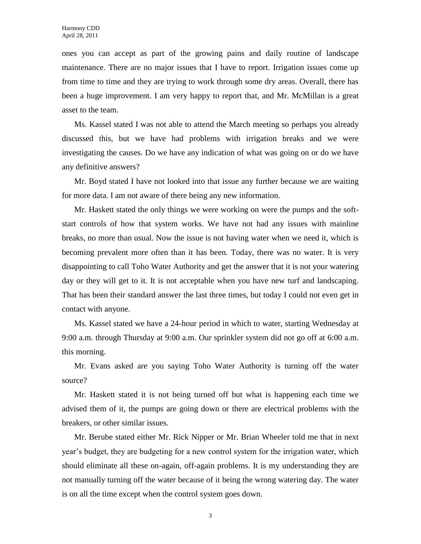ones you can accept as part of the growing pains and daily routine of landscape maintenance. There are no major issues that I have to report. Irrigation issues come up from time to time and they are trying to work through some dry areas. Overall, there has been a huge improvement. I am very happy to report that, and Mr. McMillan is a great asset to the team.

Ms. Kassel stated I was not able to attend the March meeting so perhaps you already discussed this, but we have had problems with irrigation breaks and we were investigating the causes. Do we have any indication of what was going on or do we have any definitive answers?

Mr. Boyd stated I have not looked into that issue any further because we are waiting for more data. I am not aware of there being any new information.

Mr. Haskett stated the only things we were working on were the pumps and the softstart controls of how that system works. We have not had any issues with mainline breaks, no more than usual. Now the issue is not having water when we need it, which is becoming prevalent more often than it has been. Today, there was no water. It is very disappointing to call Toho Water Authority and get the answer that it is not your watering day or they will get to it. It is not acceptable when you have new turf and landscaping. That has been their standard answer the last three times, but today I could not even get in contact with anyone.

Ms. Kassel stated we have a 24-hour period in which to water, starting Wednesday at 9:00 a.m. through Thursday at 9:00 a.m. Our sprinkler system did not go off at 6:00 a.m. this morning.

Mr. Evans asked are you saying Toho Water Authority is turning off the water source?

Mr. Haskett stated it is not being turned off but what is happening each time we advised them of it, the pumps are going down or there are electrical problems with the breakers, or other similar issues.

Mr. Berube stated either Mr. Rick Nipper or Mr. Brian Wheeler told me that in next year's budget, they are budgeting for a new control system for the irrigation water, which should eliminate all these on-again, off-again problems. It is my understanding they are not manually turning off the water because of it being the wrong watering day. The water is on all the time except when the control system goes down.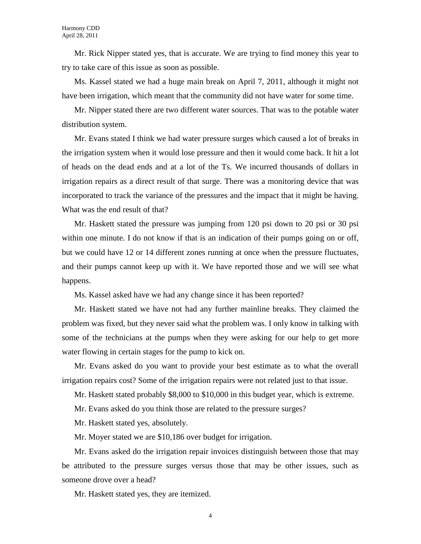Mr. Rick Nipper stated yes, that is accurate. We are trying to find money this year to try to take care of this issue as soon as possible.

Ms. Kassel stated we had a huge main break on April 7, 2011, although it might not have been irrigation, which meant that the community did not have water for some time.

Mr. Nipper stated there are two different water sources. That was to the potable water distribution system.

Mr. Evans stated I think we had water pressure surges which caused a lot of breaks in the irrigation system when it would lose pressure and then it would come back. It hit a lot of heads on the dead ends and at a lot of the Ts. We incurred thousands of dollars in irrigation repairs as a direct result of that surge. There was a monitoring device that was incorporated to track the variance of the pressures and the impact that it might be having. What was the end result of that?

Mr. Haskett stated the pressure was jumping from 120 psi down to 20 psi or 30 psi within one minute. I do not know if that is an indication of their pumps going on or off, but we could have 12 or 14 different zones running at once when the pressure fluctuates, and their pumps cannot keep up with it. We have reported those and we will see what happens.

Ms. Kassel asked have we had any change since it has been reported?

Mr. Haskett stated we have not had any further mainline breaks. They claimed the problem was fixed, but they never said what the problem was. I only know in talking with some of the technicians at the pumps when they were asking for our help to get more water flowing in certain stages for the pump to kick on.

Mr. Evans asked do you want to provide your best estimate as to what the overall irrigation repairs cost? Some of the irrigation repairs were not related just to that issue.

Mr. Haskett stated probably \$8,000 to \$10,000 in this budget year, which is extreme.

Mr. Evans asked do you think those are related to the pressure surges?

Mr. Haskett stated yes, absolutely.

Mr. Moyer stated we are \$10,186 over budget for irrigation.

Mr. Evans asked do the irrigation repair invoices distinguish between those that may be attributed to the pressure surges versus those that may be other issues, such as someone drove over a head?

Mr. Haskett stated yes, they are itemized.

4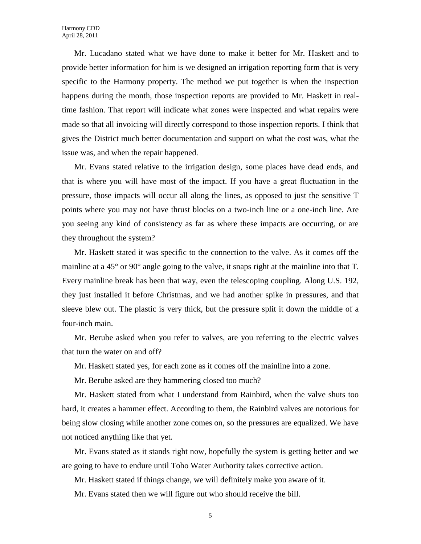Mr. Lucadano stated what we have done to make it better for Mr. Haskett and to provide better information for him is we designed an irrigation reporting form that is very specific to the Harmony property. The method we put together is when the inspection happens during the month, those inspection reports are provided to Mr. Haskett in realtime fashion. That report will indicate what zones were inspected and what repairs were made so that all invoicing will directly correspond to those inspection reports. I think that gives the District much better documentation and support on what the cost was, what the issue was, and when the repair happened.

Mr. Evans stated relative to the irrigation design, some places have dead ends, and that is where you will have most of the impact. If you have a great fluctuation in the pressure, those impacts will occur all along the lines, as opposed to just the sensitive T points where you may not have thrust blocks on a two-inch line or a one-inch line. Are you seeing any kind of consistency as far as where these impacts are occurring, or are they throughout the system?

Mr. Haskett stated it was specific to the connection to the valve. As it comes off the mainline at a 45° or 90° angle going to the valve, it snaps right at the mainline into that T. Every mainline break has been that way, even the telescoping coupling. Along U.S. 192, they just installed it before Christmas, and we had another spike in pressures, and that sleeve blew out. The plastic is very thick, but the pressure split it down the middle of a four-inch main.

Mr. Berube asked when you refer to valves, are you referring to the electric valves that turn the water on and off?

Mr. Haskett stated yes, for each zone as it comes off the mainline into a zone.

Mr. Berube asked are they hammering closed too much?

Mr. Haskett stated from what I understand from Rainbird, when the valve shuts too hard, it creates a hammer effect. According to them, the Rainbird valves are notorious for being slow closing while another zone comes on, so the pressures are equalized. We have not noticed anything like that yet.

Mr. Evans stated as it stands right now, hopefully the system is getting better and we are going to have to endure until Toho Water Authority takes corrective action.

Mr. Haskett stated if things change, we will definitely make you aware of it.

Mr. Evans stated then we will figure out who should receive the bill.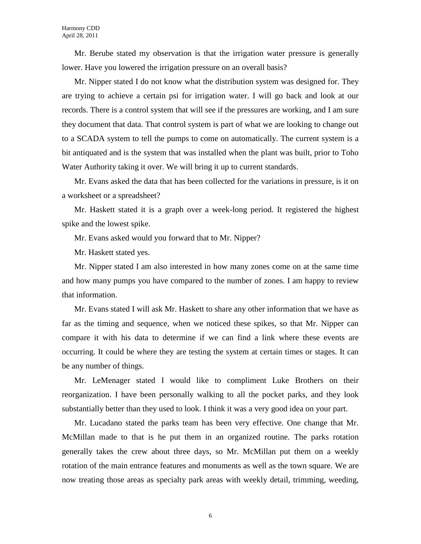Mr. Berube stated my observation is that the irrigation water pressure is generally lower. Have you lowered the irrigation pressure on an overall basis?

Mr. Nipper stated I do not know what the distribution system was designed for. They are trying to achieve a certain psi for irrigation water. I will go back and look at our records. There is a control system that will see if the pressures are working, and I am sure they document that data. That control system is part of what we are looking to change out to a SCADA system to tell the pumps to come on automatically. The current system is a bit antiquated and is the system that was installed when the plant was built, prior to Toho Water Authority taking it over. We will bring it up to current standards.

Mr. Evans asked the data that has been collected for the variations in pressure, is it on a worksheet or a spreadsheet?

Mr. Haskett stated it is a graph over a week-long period. It registered the highest spike and the lowest spike.

Mr. Evans asked would you forward that to Mr. Nipper?

Mr. Haskett stated yes.

Mr. Nipper stated I am also interested in how many zones come on at the same time and how many pumps you have compared to the number of zones. I am happy to review that information.

Mr. Evans stated I will ask Mr. Haskett to share any other information that we have as far as the timing and sequence, when we noticed these spikes, so that Mr. Nipper can compare it with his data to determine if we can find a link where these events are occurring. It could be where they are testing the system at certain times or stages. It can be any number of things.

Mr. LeMenager stated I would like to compliment Luke Brothers on their reorganization. I have been personally walking to all the pocket parks, and they look substantially better than they used to look. I think it was a very good idea on your part.

Mr. Lucadano stated the parks team has been very effective. One change that Mr. McMillan made to that is he put them in an organized routine. The parks rotation generally takes the crew about three days, so Mr. McMillan put them on a weekly rotation of the main entrance features and monuments as well as the town square. We are now treating those areas as specialty park areas with weekly detail, trimming, weeding,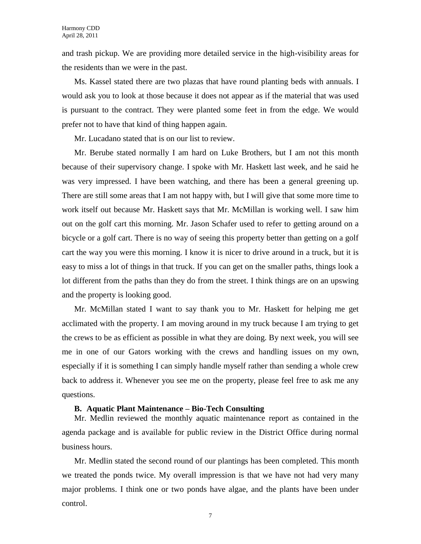and trash pickup. We are providing more detailed service in the high-visibility areas for the residents than we were in the past.

Ms. Kassel stated there are two plazas that have round planting beds with annuals. I would ask you to look at those because it does not appear as if the material that was used is pursuant to the contract. They were planted some feet in from the edge. We would prefer not to have that kind of thing happen again.

Mr. Lucadano stated that is on our list to review.

Mr. Berube stated normally I am hard on Luke Brothers, but I am not this month because of their supervisory change. I spoke with Mr. Haskett last week, and he said he was very impressed. I have been watching, and there has been a general greening up. There are still some areas that I am not happy with, but I will give that some more time to work itself out because Mr. Haskett says that Mr. McMillan is working well. I saw him out on the golf cart this morning. Mr. Jason Schafer used to refer to getting around on a bicycle or a golf cart. There is no way of seeing this property better than getting on a golf cart the way you were this morning. I know it is nicer to drive around in a truck, but it is easy to miss a lot of things in that truck. If you can get on the smaller paths, things look a lot different from the paths than they do from the street. I think things are on an upswing and the property is looking good.

Mr. McMillan stated I want to say thank you to Mr. Haskett for helping me get acclimated with the property. I am moving around in my truck because I am trying to get the crews to be as efficient as possible in what they are doing. By next week, you will see me in one of our Gators working with the crews and handling issues on my own, especially if it is something I can simply handle myself rather than sending a whole crew back to address it. Whenever you see me on the property, please feel free to ask me any questions.

### **B. Aquatic Plant Maintenance – Bio-Tech Consulting**

Mr. Medlin reviewed the monthly aquatic maintenance report as contained in the agenda package and is available for public review in the District Office during normal business hours.

Mr. Medlin stated the second round of our plantings has been completed. This month we treated the ponds twice. My overall impression is that we have not had very many major problems. I think one or two ponds have algae, and the plants have been under control.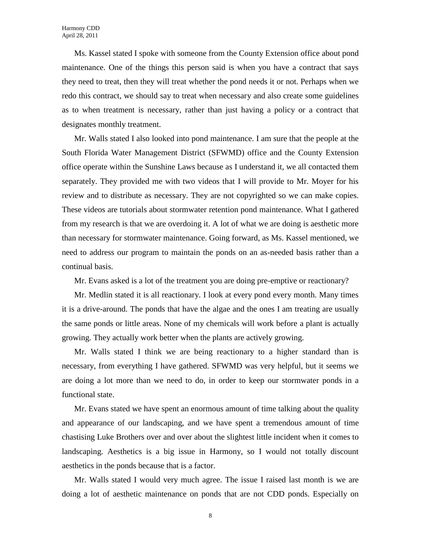Ms. Kassel stated I spoke with someone from the County Extension office about pond maintenance. One of the things this person said is when you have a contract that says they need to treat, then they will treat whether the pond needs it or not. Perhaps when we redo this contract, we should say to treat when necessary and also create some guidelines as to when treatment is necessary, rather than just having a policy or a contract that designates monthly treatment.

Mr. Walls stated I also looked into pond maintenance. I am sure that the people at the South Florida Water Management District (SFWMD) office and the County Extension office operate within the Sunshine Laws because as I understand it, we all contacted them separately. They provided me with two videos that I will provide to Mr. Moyer for his review and to distribute as necessary. They are not copyrighted so we can make copies. These videos are tutorials about stormwater retention pond maintenance. What I gathered from my research is that we are overdoing it. A lot of what we are doing is aesthetic more than necessary for stormwater maintenance. Going forward, as Ms. Kassel mentioned, we need to address our program to maintain the ponds on an as-needed basis rather than a continual basis.

Mr. Evans asked is a lot of the treatment you are doing pre-emptive or reactionary?

Mr. Medlin stated it is all reactionary. I look at every pond every month. Many times it is a drive-around. The ponds that have the algae and the ones I am treating are usually the same ponds or little areas. None of my chemicals will work before a plant is actually growing. They actually work better when the plants are actively growing.

Mr. Walls stated I think we are being reactionary to a higher standard than is necessary, from everything I have gathered. SFWMD was very helpful, but it seems we are doing a lot more than we need to do, in order to keep our stormwater ponds in a functional state.

Mr. Evans stated we have spent an enormous amount of time talking about the quality and appearance of our landscaping, and we have spent a tremendous amount of time chastising Luke Brothers over and over about the slightest little incident when it comes to landscaping. Aesthetics is a big issue in Harmony, so I would not totally discount aesthetics in the ponds because that is a factor.

Mr. Walls stated I would very much agree. The issue I raised last month is we are doing a lot of aesthetic maintenance on ponds that are not CDD ponds. Especially on

8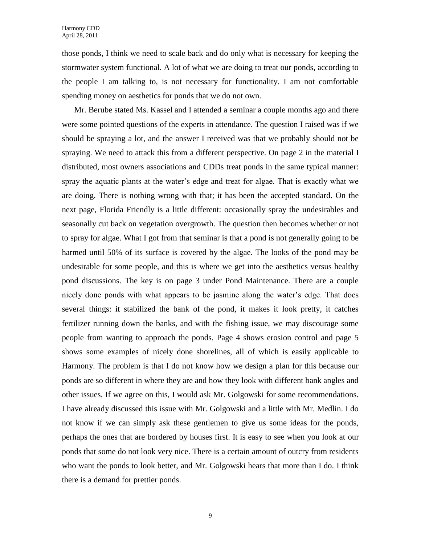those ponds, I think we need to scale back and do only what is necessary for keeping the stormwater system functional. A lot of what we are doing to treat our ponds, according to the people I am talking to, is not necessary for functionality. I am not comfortable spending money on aesthetics for ponds that we do not own.

Mr. Berube stated Ms. Kassel and I attended a seminar a couple months ago and there were some pointed questions of the experts in attendance. The question I raised was if we should be spraying a lot, and the answer I received was that we probably should not be spraying. We need to attack this from a different perspective. On page 2 in the material I distributed, most owners associations and CDDs treat ponds in the same typical manner: spray the aquatic plants at the water's edge and treat for algae. That is exactly what we are doing. There is nothing wrong with that; it has been the accepted standard. On the next page, Florida Friendly is a little different: occasionally spray the undesirables and seasonally cut back on vegetation overgrowth. The question then becomes whether or not to spray for algae. What I got from that seminar is that a pond is not generally going to be harmed until 50% of its surface is covered by the algae. The looks of the pond may be undesirable for some people, and this is where we get into the aesthetics versus healthy pond discussions. The key is on page 3 under Pond Maintenance. There are a couple nicely done ponds with what appears to be jasmine along the water's edge. That does several things: it stabilized the bank of the pond, it makes it look pretty, it catches fertilizer running down the banks, and with the fishing issue, we may discourage some people from wanting to approach the ponds. Page 4 shows erosion control and page 5 shows some examples of nicely done shorelines, all of which is easily applicable to Harmony. The problem is that I do not know how we design a plan for this because our ponds are so different in where they are and how they look with different bank angles and other issues. If we agree on this, I would ask Mr. Golgowski for some recommendations. I have already discussed this issue with Mr. Golgowski and a little with Mr. Medlin. I do not know if we can simply ask these gentlemen to give us some ideas for the ponds, perhaps the ones that are bordered by houses first. It is easy to see when you look at our ponds that some do not look very nice. There is a certain amount of outcry from residents who want the ponds to look better, and Mr. Golgowski hears that more than I do. I think there is a demand for prettier ponds.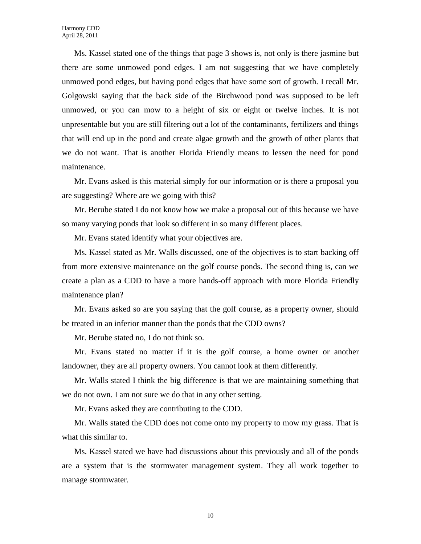Ms. Kassel stated one of the things that page 3 shows is, not only is there jasmine but there are some unmowed pond edges. I am not suggesting that we have completely unmowed pond edges, but having pond edges that have some sort of growth. I recall Mr. Golgowski saying that the back side of the Birchwood pond was supposed to be left unmowed, or you can mow to a height of six or eight or twelve inches. It is not unpresentable but you are still filtering out a lot of the contaminants, fertilizers and things that will end up in the pond and create algae growth and the growth of other plants that we do not want. That is another Florida Friendly means to lessen the need for pond maintenance.

Mr. Evans asked is this material simply for our information or is there a proposal you are suggesting? Where are we going with this?

Mr. Berube stated I do not know how we make a proposal out of this because we have so many varying ponds that look so different in so many different places.

Mr. Evans stated identify what your objectives are.

Ms. Kassel stated as Mr. Walls discussed, one of the objectives is to start backing off from more extensive maintenance on the golf course ponds. The second thing is, can we create a plan as a CDD to have a more hands-off approach with more Florida Friendly maintenance plan?

Mr. Evans asked so are you saying that the golf course, as a property owner, should be treated in an inferior manner than the ponds that the CDD owns?

Mr. Berube stated no, I do not think so.

Mr. Evans stated no matter if it is the golf course, a home owner or another landowner, they are all property owners. You cannot look at them differently.

Mr. Walls stated I think the big difference is that we are maintaining something that we do not own. I am not sure we do that in any other setting.

Mr. Evans asked they are contributing to the CDD.

Mr. Walls stated the CDD does not come onto my property to mow my grass. That is what this similar to.

Ms. Kassel stated we have had discussions about this previously and all of the ponds are a system that is the stormwater management system. They all work together to manage stormwater.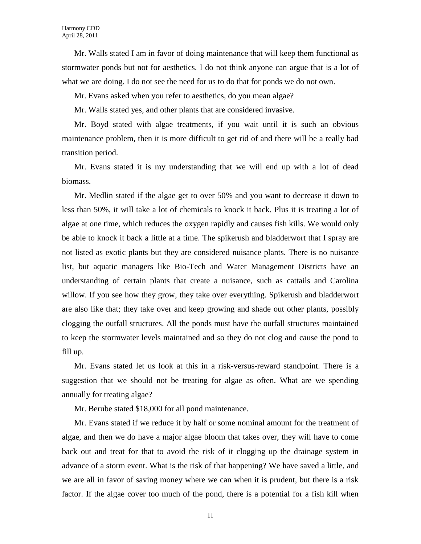Mr. Walls stated I am in favor of doing maintenance that will keep them functional as stormwater ponds but not for aesthetics. I do not think anyone can argue that is a lot of what we are doing. I do not see the need for us to do that for ponds we do not own.

Mr. Evans asked when you refer to aesthetics, do you mean algae?

Mr. Walls stated yes, and other plants that are considered invasive.

Mr. Boyd stated with algae treatments, if you wait until it is such an obvious maintenance problem, then it is more difficult to get rid of and there will be a really bad transition period.

Mr. Evans stated it is my understanding that we will end up with a lot of dead biomass.

Mr. Medlin stated if the algae get to over 50% and you want to decrease it down to less than 50%, it will take a lot of chemicals to knock it back. Plus it is treating a lot of algae at one time, which reduces the oxygen rapidly and causes fish kills. We would only be able to knock it back a little at a time. The spikerush and bladderwort that I spray are not listed as exotic plants but they are considered nuisance plants. There is no nuisance list, but aquatic managers like Bio-Tech and Water Management Districts have an understanding of certain plants that create a nuisance, such as cattails and Carolina willow. If you see how they grow, they take over everything. Spikerush and bladderwort are also like that; they take over and keep growing and shade out other plants, possibly clogging the outfall structures. All the ponds must have the outfall structures maintained to keep the stormwater levels maintained and so they do not clog and cause the pond to fill up.

Mr. Evans stated let us look at this in a risk-versus-reward standpoint. There is a suggestion that we should not be treating for algae as often. What are we spending annually for treating algae?

Mr. Berube stated \$18,000 for all pond maintenance.

Mr. Evans stated if we reduce it by half or some nominal amount for the treatment of algae, and then we do have a major algae bloom that takes over, they will have to come back out and treat for that to avoid the risk of it clogging up the drainage system in advance of a storm event. What is the risk of that happening? We have saved a little, and we are all in favor of saving money where we can when it is prudent, but there is a risk factor. If the algae cover too much of the pond, there is a potential for a fish kill when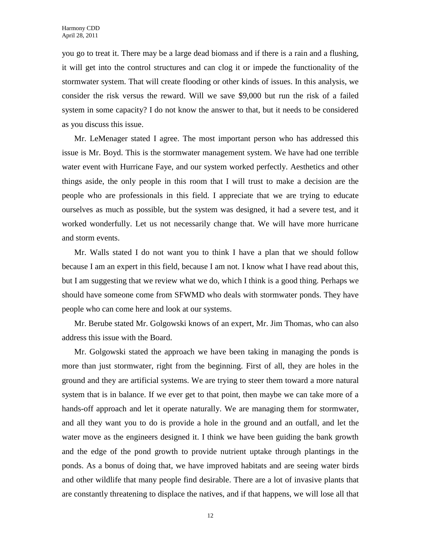you go to treat it. There may be a large dead biomass and if there is a rain and a flushing, it will get into the control structures and can clog it or impede the functionality of the stormwater system. That will create flooding or other kinds of issues. In this analysis, we consider the risk versus the reward. Will we save \$9,000 but run the risk of a failed system in some capacity? I do not know the answer to that, but it needs to be considered as you discuss this issue.

Mr. LeMenager stated I agree. The most important person who has addressed this issue is Mr. Boyd. This is the stormwater management system. We have had one terrible water event with Hurricane Faye, and our system worked perfectly. Aesthetics and other things aside, the only people in this room that I will trust to make a decision are the people who are professionals in this field. I appreciate that we are trying to educate ourselves as much as possible, but the system was designed, it had a severe test, and it worked wonderfully. Let us not necessarily change that. We will have more hurricane and storm events.

Mr. Walls stated I do not want you to think I have a plan that we should follow because I am an expert in this field, because I am not. I know what I have read about this, but I am suggesting that we review what we do, which I think is a good thing. Perhaps we should have someone come from SFWMD who deals with stormwater ponds. They have people who can come here and look at our systems.

Mr. Berube stated Mr. Golgowski knows of an expert, Mr. Jim Thomas, who can also address this issue with the Board.

Mr. Golgowski stated the approach we have been taking in managing the ponds is more than just stormwater, right from the beginning. First of all, they are holes in the ground and they are artificial systems. We are trying to steer them toward a more natural system that is in balance. If we ever get to that point, then maybe we can take more of a hands-off approach and let it operate naturally. We are managing them for stormwater, and all they want you to do is provide a hole in the ground and an outfall, and let the water move as the engineers designed it. I think we have been guiding the bank growth and the edge of the pond growth to provide nutrient uptake through plantings in the ponds. As a bonus of doing that, we have improved habitats and are seeing water birds and other wildlife that many people find desirable. There are a lot of invasive plants that are constantly threatening to displace the natives, and if that happens, we will lose all that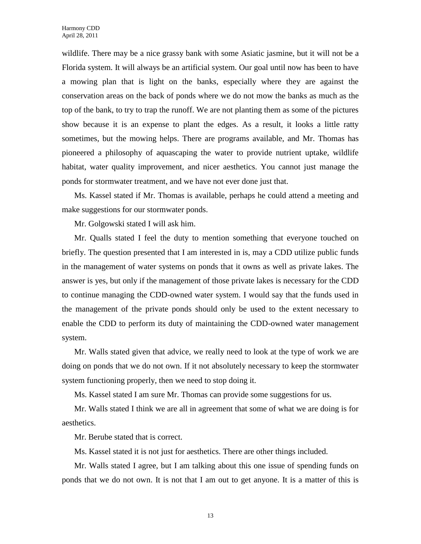wildlife. There may be a nice grassy bank with some Asiatic jasmine, but it will not be a Florida system. It will always be an artificial system. Our goal until now has been to have a mowing plan that is light on the banks, especially where they are against the conservation areas on the back of ponds where we do not mow the banks as much as the top of the bank, to try to trap the runoff. We are not planting them as some of the pictures show because it is an expense to plant the edges. As a result, it looks a little ratty sometimes, but the mowing helps. There are programs available, and Mr. Thomas has pioneered a philosophy of aquascaping the water to provide nutrient uptake, wildlife habitat, water quality improvement, and nicer aesthetics. You cannot just manage the ponds for stormwater treatment, and we have not ever done just that.

Ms. Kassel stated if Mr. Thomas is available, perhaps he could attend a meeting and make suggestions for our stormwater ponds.

Mr. Golgowski stated I will ask him.

Mr. Qualls stated I feel the duty to mention something that everyone touched on briefly. The question presented that I am interested in is, may a CDD utilize public funds in the management of water systems on ponds that it owns as well as private lakes. The answer is yes, but only if the management of those private lakes is necessary for the CDD to continue managing the CDD-owned water system. I would say that the funds used in the management of the private ponds should only be used to the extent necessary to enable the CDD to perform its duty of maintaining the CDD-owned water management system.

Mr. Walls stated given that advice, we really need to look at the type of work we are doing on ponds that we do not own. If it not absolutely necessary to keep the stormwater system functioning properly, then we need to stop doing it.

Ms. Kassel stated I am sure Mr. Thomas can provide some suggestions for us.

Mr. Walls stated I think we are all in agreement that some of what we are doing is for aesthetics.

Mr. Berube stated that is correct.

Ms. Kassel stated it is not just for aesthetics. There are other things included.

Mr. Walls stated I agree, but I am talking about this one issue of spending funds on ponds that we do not own. It is not that I am out to get anyone. It is a matter of this is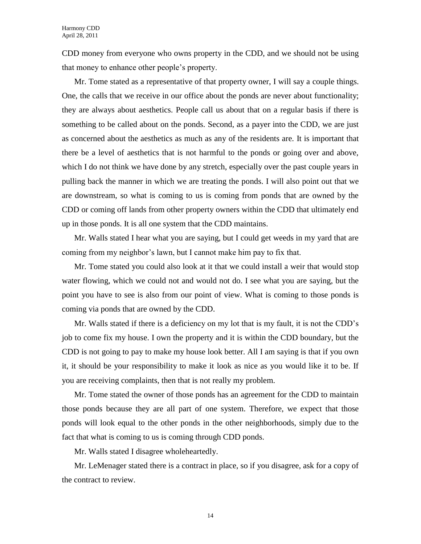CDD money from everyone who owns property in the CDD, and we should not be using that money to enhance other people's property.

Mr. Tome stated as a representative of that property owner, I will say a couple things. One, the calls that we receive in our office about the ponds are never about functionality; they are always about aesthetics. People call us about that on a regular basis if there is something to be called about on the ponds. Second, as a payer into the CDD, we are just as concerned about the aesthetics as much as any of the residents are. It is important that there be a level of aesthetics that is not harmful to the ponds or going over and above, which I do not think we have done by any stretch, especially over the past couple years in pulling back the manner in which we are treating the ponds. I will also point out that we are downstream, so what is coming to us is coming from ponds that are owned by the CDD or coming off lands from other property owners within the CDD that ultimately end up in those ponds. It is all one system that the CDD maintains.

Mr. Walls stated I hear what you are saying, but I could get weeds in my yard that are coming from my neighbor's lawn, but I cannot make him pay to fix that.

Mr. Tome stated you could also look at it that we could install a weir that would stop water flowing, which we could not and would not do. I see what you are saying, but the point you have to see is also from our point of view. What is coming to those ponds is coming via ponds that are owned by the CDD.

Mr. Walls stated if there is a deficiency on my lot that is my fault, it is not the CDD's job to come fix my house. I own the property and it is within the CDD boundary, but the CDD is not going to pay to make my house look better. All I am saying is that if you own it, it should be your responsibility to make it look as nice as you would like it to be. If you are receiving complaints, then that is not really my problem.

Mr. Tome stated the owner of those ponds has an agreement for the CDD to maintain those ponds because they are all part of one system. Therefore, we expect that those ponds will look equal to the other ponds in the other neighborhoods, simply due to the fact that what is coming to us is coming through CDD ponds.

Mr. Walls stated I disagree wholeheartedly.

Mr. LeMenager stated there is a contract in place, so if you disagree, ask for a copy of the contract to review.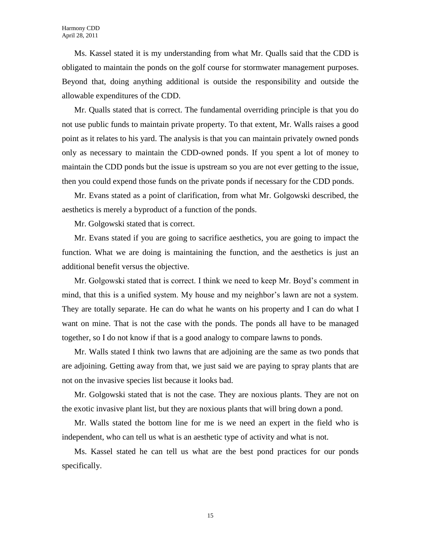Ms. Kassel stated it is my understanding from what Mr. Qualls said that the CDD is obligated to maintain the ponds on the golf course for stormwater management purposes. Beyond that, doing anything additional is outside the responsibility and outside the allowable expenditures of the CDD.

Mr. Qualls stated that is correct. The fundamental overriding principle is that you do not use public funds to maintain private property. To that extent, Mr. Walls raises a good point as it relates to his yard. The analysis is that you can maintain privately owned ponds only as necessary to maintain the CDD-owned ponds. If you spent a lot of money to maintain the CDD ponds but the issue is upstream so you are not ever getting to the issue, then you could expend those funds on the private ponds if necessary for the CDD ponds.

Mr. Evans stated as a point of clarification, from what Mr. Golgowski described, the aesthetics is merely a byproduct of a function of the ponds.

Mr. Golgowski stated that is correct.

Mr. Evans stated if you are going to sacrifice aesthetics, you are going to impact the function. What we are doing is maintaining the function, and the aesthetics is just an additional benefit versus the objective.

Mr. Golgowski stated that is correct. I think we need to keep Mr. Boyd's comment in mind, that this is a unified system. My house and my neighbor's lawn are not a system. They are totally separate. He can do what he wants on his property and I can do what I want on mine. That is not the case with the ponds. The ponds all have to be managed together, so I do not know if that is a good analogy to compare lawns to ponds.

Mr. Walls stated I think two lawns that are adjoining are the same as two ponds that are adjoining. Getting away from that, we just said we are paying to spray plants that are not on the invasive species list because it looks bad.

Mr. Golgowski stated that is not the case. They are noxious plants. They are not on the exotic invasive plant list, but they are noxious plants that will bring down a pond.

Mr. Walls stated the bottom line for me is we need an expert in the field who is independent, who can tell us what is an aesthetic type of activity and what is not.

Ms. Kassel stated he can tell us what are the best pond practices for our ponds specifically.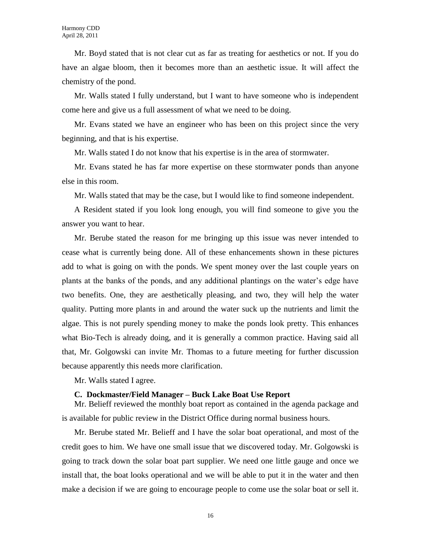Mr. Boyd stated that is not clear cut as far as treating for aesthetics or not. If you do have an algae bloom, then it becomes more than an aesthetic issue. It will affect the chemistry of the pond.

Mr. Walls stated I fully understand, but I want to have someone who is independent come here and give us a full assessment of what we need to be doing.

Mr. Evans stated we have an engineer who has been on this project since the very beginning, and that is his expertise.

Mr. Walls stated I do not know that his expertise is in the area of stormwater.

Mr. Evans stated he has far more expertise on these stormwater ponds than anyone else in this room.

Mr. Walls stated that may be the case, but I would like to find someone independent.

A Resident stated if you look long enough, you will find someone to give you the answer you want to hear.

Mr. Berube stated the reason for me bringing up this issue was never intended to cease what is currently being done. All of these enhancements shown in these pictures add to what is going on with the ponds. We spent money over the last couple years on plants at the banks of the ponds, and any additional plantings on the water's edge have two benefits. One, they are aesthetically pleasing, and two, they will help the water quality. Putting more plants in and around the water suck up the nutrients and limit the algae. This is not purely spending money to make the ponds look pretty. This enhances what Bio-Tech is already doing, and it is generally a common practice. Having said all that, Mr. Golgowski can invite Mr. Thomas to a future meeting for further discussion because apparently this needs more clarification.

Mr. Walls stated I agree.

### **C. Dockmaster/Field Manager – Buck Lake Boat Use Report**

Mr. Belieff reviewed the monthly boat report as contained in the agenda package and is available for public review in the District Office during normal business hours.

Mr. Berube stated Mr. Belieff and I have the solar boat operational, and most of the credit goes to him. We have one small issue that we discovered today. Mr. Golgowski is going to track down the solar boat part supplier. We need one little gauge and once we install that, the boat looks operational and we will be able to put it in the water and then make a decision if we are going to encourage people to come use the solar boat or sell it.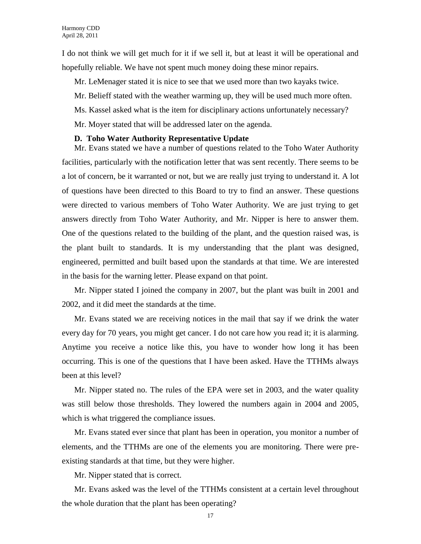I do not think we will get much for it if we sell it, but at least it will be operational and hopefully reliable. We have not spent much money doing these minor repairs.

Mr. LeMenager stated it is nice to see that we used more than two kayaks twice.

Mr. Belieff stated with the weather warming up, they will be used much more often.

Ms. Kassel asked what is the item for disciplinary actions unfortunately necessary?

Mr. Moyer stated that will be addressed later on the agenda.

# **D. Toho Water Authority Representative Update**

Mr. Evans stated we have a number of questions related to the Toho Water Authority facilities, particularly with the notification letter that was sent recently. There seems to be a lot of concern, be it warranted or not, but we are really just trying to understand it. A lot of questions have been directed to this Board to try to find an answer. These questions were directed to various members of Toho Water Authority. We are just trying to get answers directly from Toho Water Authority, and Mr. Nipper is here to answer them. One of the questions related to the building of the plant, and the question raised was, is the plant built to standards. It is my understanding that the plant was designed, engineered, permitted and built based upon the standards at that time. We are interested in the basis for the warning letter. Please expand on that point.

Mr. Nipper stated I joined the company in 2007, but the plant was built in 2001 and 2002, and it did meet the standards at the time.

Mr. Evans stated we are receiving notices in the mail that say if we drink the water every day for 70 years, you might get cancer. I do not care how you read it; it is alarming. Anytime you receive a notice like this, you have to wonder how long it has been occurring. This is one of the questions that I have been asked. Have the TTHMs always been at this level?

Mr. Nipper stated no. The rules of the EPA were set in 2003, and the water quality was still below those thresholds. They lowered the numbers again in 2004 and 2005, which is what triggered the compliance issues.

Mr. Evans stated ever since that plant has been in operation, you monitor a number of elements, and the TTHMs are one of the elements you are monitoring. There were preexisting standards at that time, but they were higher.

Mr. Nipper stated that is correct.

Mr. Evans asked was the level of the TTHMs consistent at a certain level throughout the whole duration that the plant has been operating?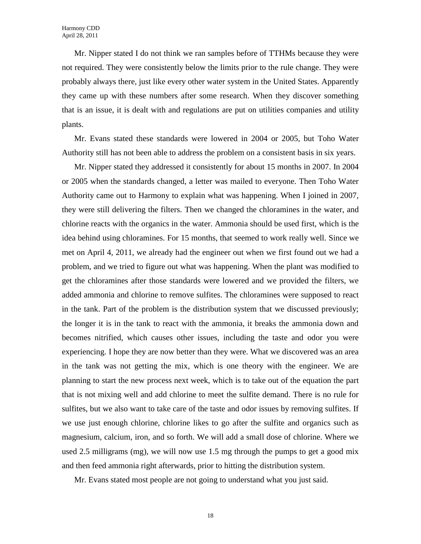Mr. Nipper stated I do not think we ran samples before of TTHMs because they were not required. They were consistently below the limits prior to the rule change. They were probably always there, just like every other water system in the United States. Apparently they came up with these numbers after some research. When they discover something that is an issue, it is dealt with and regulations are put on utilities companies and utility plants.

Mr. Evans stated these standards were lowered in 2004 or 2005, but Toho Water Authority still has not been able to address the problem on a consistent basis in six years.

Mr. Nipper stated they addressed it consistently for about 15 months in 2007. In 2004 or 2005 when the standards changed, a letter was mailed to everyone. Then Toho Water Authority came out to Harmony to explain what was happening. When I joined in 2007, they were still delivering the filters. Then we changed the chloramines in the water, and chlorine reacts with the organics in the water. Ammonia should be used first, which is the idea behind using chloramines. For 15 months, that seemed to work really well. Since we met on April 4, 2011, we already had the engineer out when we first found out we had a problem, and we tried to figure out what was happening. When the plant was modified to get the chloramines after those standards were lowered and we provided the filters, we added ammonia and chlorine to remove sulfites. The chloramines were supposed to react in the tank. Part of the problem is the distribution system that we discussed previously; the longer it is in the tank to react with the ammonia, it breaks the ammonia down and becomes nitrified, which causes other issues, including the taste and odor you were experiencing. I hope they are now better than they were. What we discovered was an area in the tank was not getting the mix, which is one theory with the engineer. We are planning to start the new process next week, which is to take out of the equation the part that is not mixing well and add chlorine to meet the sulfite demand. There is no rule for sulfites, but we also want to take care of the taste and odor issues by removing sulfites. If we use just enough chlorine, chlorine likes to go after the sulfite and organics such as magnesium, calcium, iron, and so forth. We will add a small dose of chlorine. Where we used 2.5 milligrams (mg), we will now use 1.5 mg through the pumps to get a good mix and then feed ammonia right afterwards, prior to hitting the distribution system.

Mr. Evans stated most people are not going to understand what you just said.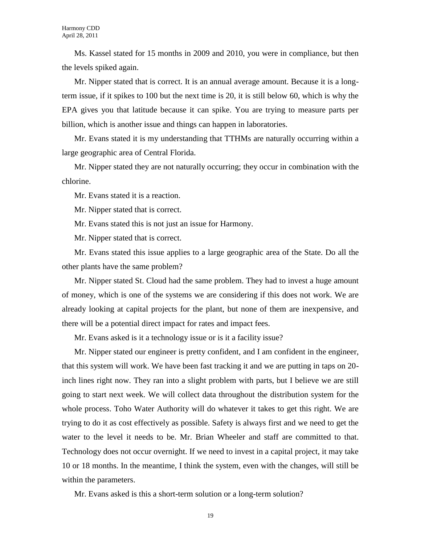Ms. Kassel stated for 15 months in 2009 and 2010, you were in compliance, but then the levels spiked again.

Mr. Nipper stated that is correct. It is an annual average amount. Because it is a longterm issue, if it spikes to 100 but the next time is 20, it is still below 60, which is why the EPA gives you that latitude because it can spike. You are trying to measure parts per billion, which is another issue and things can happen in laboratories.

Mr. Evans stated it is my understanding that TTHMs are naturally occurring within a large geographic area of Central Florida.

Mr. Nipper stated they are not naturally occurring; they occur in combination with the chlorine.

Mr. Evans stated it is a reaction.

Mr. Nipper stated that is correct.

Mr. Evans stated this is not just an issue for Harmony.

Mr. Nipper stated that is correct.

Mr. Evans stated this issue applies to a large geographic area of the State. Do all the other plants have the same problem?

Mr. Nipper stated St. Cloud had the same problem. They had to invest a huge amount of money, which is one of the systems we are considering if this does not work. We are already looking at capital projects for the plant, but none of them are inexpensive, and there will be a potential direct impact for rates and impact fees.

Mr. Evans asked is it a technology issue or is it a facility issue?

Mr. Nipper stated our engineer is pretty confident, and I am confident in the engineer, that this system will work. We have been fast tracking it and we are putting in taps on 20 inch lines right now. They ran into a slight problem with parts, but I believe we are still going to start next week. We will collect data throughout the distribution system for the whole process. Toho Water Authority will do whatever it takes to get this right. We are trying to do it as cost effectively as possible. Safety is always first and we need to get the water to the level it needs to be. Mr. Brian Wheeler and staff are committed to that. Technology does not occur overnight. If we need to invest in a capital project, it may take 10 or 18 months. In the meantime, I think the system, even with the changes, will still be within the parameters.

Mr. Evans asked is this a short-term solution or a long-term solution?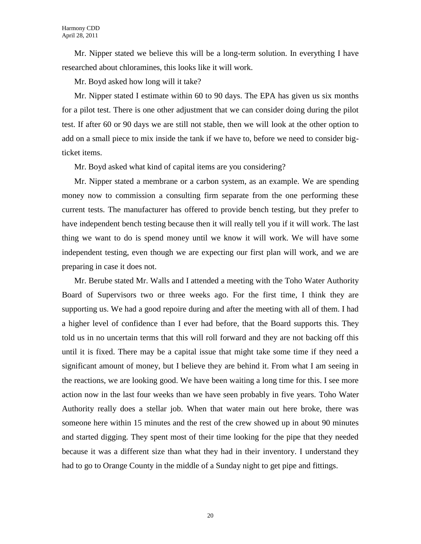Mr. Nipper stated we believe this will be a long-term solution. In everything I have researched about chloramines, this looks like it will work.

Mr. Boyd asked how long will it take?

Mr. Nipper stated I estimate within 60 to 90 days. The EPA has given us six months for a pilot test. There is one other adjustment that we can consider doing during the pilot test. If after 60 or 90 days we are still not stable, then we will look at the other option to add on a small piece to mix inside the tank if we have to, before we need to consider bigticket items.

Mr. Boyd asked what kind of capital items are you considering?

Mr. Nipper stated a membrane or a carbon system, as an example. We are spending money now to commission a consulting firm separate from the one performing these current tests. The manufacturer has offered to provide bench testing, but they prefer to have independent bench testing because then it will really tell you if it will work. The last thing we want to do is spend money until we know it will work. We will have some independent testing, even though we are expecting our first plan will work, and we are preparing in case it does not.

Mr. Berube stated Mr. Walls and I attended a meeting with the Toho Water Authority Board of Supervisors two or three weeks ago. For the first time, I think they are supporting us. We had a good repoire during and after the meeting with all of them. I had a higher level of confidence than I ever had before, that the Board supports this. They told us in no uncertain terms that this will roll forward and they are not backing off this until it is fixed. There may be a capital issue that might take some time if they need a significant amount of money, but I believe they are behind it. From what I am seeing in the reactions, we are looking good. We have been waiting a long time for this. I see more action now in the last four weeks than we have seen probably in five years. Toho Water Authority really does a stellar job. When that water main out here broke, there was someone here within 15 minutes and the rest of the crew showed up in about 90 minutes and started digging. They spent most of their time looking for the pipe that they needed because it was a different size than what they had in their inventory. I understand they had to go to Orange County in the middle of a Sunday night to get pipe and fittings.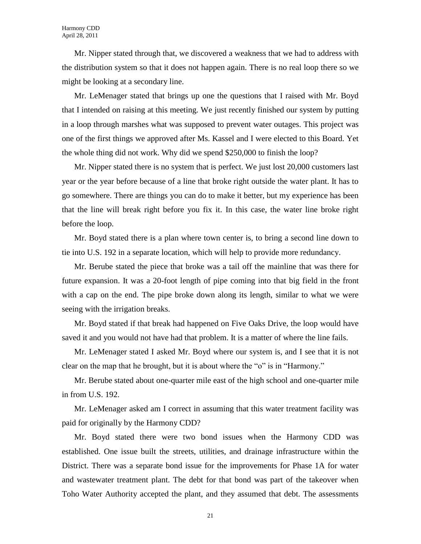Mr. Nipper stated through that, we discovered a weakness that we had to address with the distribution system so that it does not happen again. There is no real loop there so we might be looking at a secondary line.

Mr. LeMenager stated that brings up one the questions that I raised with Mr. Boyd that I intended on raising at this meeting. We just recently finished our system by putting in a loop through marshes what was supposed to prevent water outages. This project was one of the first things we approved after Ms. Kassel and I were elected to this Board. Yet the whole thing did not work. Why did we spend \$250,000 to finish the loop?

Mr. Nipper stated there is no system that is perfect. We just lost 20,000 customers last year or the year before because of a line that broke right outside the water plant. It has to go somewhere. There are things you can do to make it better, but my experience has been that the line will break right before you fix it. In this case, the water line broke right before the loop.

Mr. Boyd stated there is a plan where town center is, to bring a second line down to tie into U.S. 192 in a separate location, which will help to provide more redundancy.

Mr. Berube stated the piece that broke was a tail off the mainline that was there for future expansion. It was a 20-foot length of pipe coming into that big field in the front with a cap on the end. The pipe broke down along its length, similar to what we were seeing with the irrigation breaks.

Mr. Boyd stated if that break had happened on Five Oaks Drive, the loop would have saved it and you would not have had that problem. It is a matter of where the line fails.

Mr. LeMenager stated I asked Mr. Boyd where our system is, and I see that it is not clear on the map that he brought, but it is about where the "o" is in "Harmony."

Mr. Berube stated about one-quarter mile east of the high school and one-quarter mile in from U.S. 192.

Mr. LeMenager asked am I correct in assuming that this water treatment facility was paid for originally by the Harmony CDD?

Mr. Boyd stated there were two bond issues when the Harmony CDD was established. One issue built the streets, utilities, and drainage infrastructure within the District. There was a separate bond issue for the improvements for Phase 1A for water and wastewater treatment plant. The debt for that bond was part of the takeover when Toho Water Authority accepted the plant, and they assumed that debt. The assessments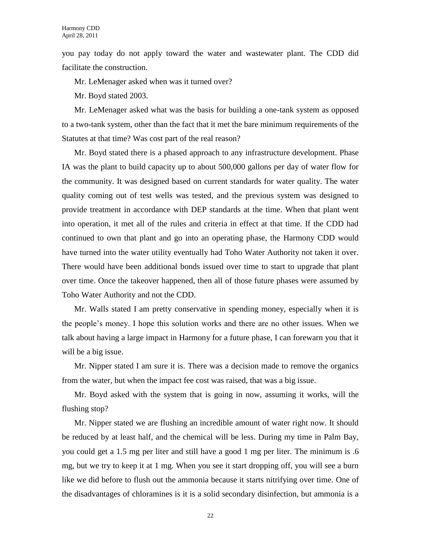you pay today do not apply toward the water and wastewater plant. The CDD did facilitate the construction.

Mr. LeMenager asked when was it turned over?

Mr. Boyd stated 2003.

Mr. LeMenager asked what was the basis for building a one-tank system as opposed to a two-tank system, other than the fact that it met the bare minimum requirements of the Statutes at that time? Was cost part of the real reason?

Mr. Boyd stated there is a phased approach to any infrastructure development. Phase IA was the plant to build capacity up to about 500,000 gallons per day of water flow for the community. It was designed based on current standards for water quality. The water quality coming out of test wells was tested, and the previous system was designed to provide treatment in accordance with DEP standards at the time. When that plant went into operation, it met all of the rules and criteria in effect at that time. If the CDD had continued to own that plant and go into an operating phase, the Harmony CDD would have turned into the water utility eventually had Toho Water Authority not taken it over. There would have been additional bonds issued over time to start to upgrade that plant over time. Once the takeover happened, then all of those future phases were assumed by Toho Water Authority and not the CDD.

Mr. Walls stated I am pretty conservative in spending money, especially when it is the people's money. I hope this solution works and there are no other issues. When we talk about having a large impact in Harmony for a future phase, I can forewarn you that it will be a big issue.

Mr. Nipper stated I am sure it is. There was a decision made to remove the organics from the water, but when the impact fee cost was raised, that was a big issue.

Mr. Boyd asked with the system that is going in now, assuming it works, will the flushing stop?

Mr. Nipper stated we are flushing an incredible amount of water right now. It should be reduced by at least half, and the chemical will be less. During my time in Palm Bay, you could get a 1.5 mg per liter and still have a good 1 mg per liter. The minimum is .6 mg, but we try to keep it at 1 mg. When you see it start dropping off, you will see a burn like we did before to flush out the ammonia because it starts nitrifying over time. One of the disadvantages of chloramines is it is a solid secondary disinfection, but ammonia is a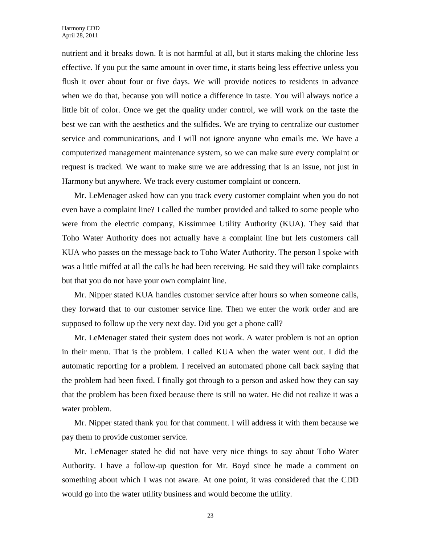nutrient and it breaks down. It is not harmful at all, but it starts making the chlorine less effective. If you put the same amount in over time, it starts being less effective unless you flush it over about four or five days. We will provide notices to residents in advance when we do that, because you will notice a difference in taste. You will always notice a little bit of color. Once we get the quality under control, we will work on the taste the best we can with the aesthetics and the sulfides. We are trying to centralize our customer service and communications, and I will not ignore anyone who emails me. We have a computerized management maintenance system, so we can make sure every complaint or request is tracked. We want to make sure we are addressing that is an issue, not just in Harmony but anywhere. We track every customer complaint or concern.

Mr. LeMenager asked how can you track every customer complaint when you do not even have a complaint line? I called the number provided and talked to some people who were from the electric company, Kissimmee Utility Authority (KUA). They said that Toho Water Authority does not actually have a complaint line but lets customers call KUA who passes on the message back to Toho Water Authority. The person I spoke with was a little miffed at all the calls he had been receiving. He said they will take complaints but that you do not have your own complaint line.

Mr. Nipper stated KUA handles customer service after hours so when someone calls, they forward that to our customer service line. Then we enter the work order and are supposed to follow up the very next day. Did you get a phone call?

Mr. LeMenager stated their system does not work. A water problem is not an option in their menu. That is the problem. I called KUA when the water went out. I did the automatic reporting for a problem. I received an automated phone call back saying that the problem had been fixed. I finally got through to a person and asked how they can say that the problem has been fixed because there is still no water. He did not realize it was a water problem.

Mr. Nipper stated thank you for that comment. I will address it with them because we pay them to provide customer service.

Mr. LeMenager stated he did not have very nice things to say about Toho Water Authority. I have a follow-up question for Mr. Boyd since he made a comment on something about which I was not aware. At one point, it was considered that the CDD would go into the water utility business and would become the utility.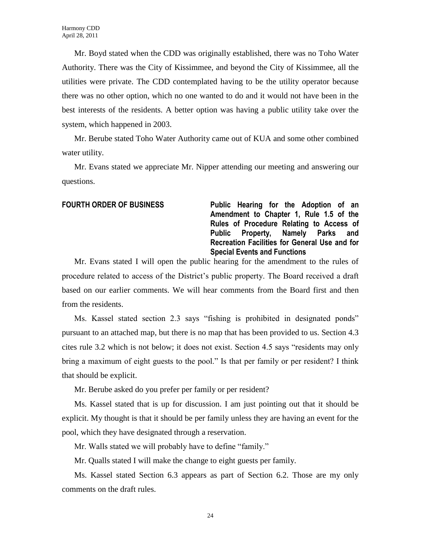Mr. Boyd stated when the CDD was originally established, there was no Toho Water Authority. There was the City of Kissimmee, and beyond the City of Kissimmee, all the utilities were private. The CDD contemplated having to be the utility operator because there was no other option, which no one wanted to do and it would not have been in the best interests of the residents. A better option was having a public utility take over the system, which happened in 2003.

Mr. Berube stated Toho Water Authority came out of KUA and some other combined water utility.

Mr. Evans stated we appreciate Mr. Nipper attending our meeting and answering our questions.

**FOURTH ORDER OF BUSINESS Public Hearing for the Adoption of an Amendment to Chapter 1, Rule 1.5 of the Rules of Procedure Relating to Access of Public Property, Namely Parks and Recreation Facilities for General Use and for Special Events and Functions**

Mr. Evans stated I will open the public hearing for the amendment to the rules of procedure related to access of the District's public property. The Board received a draft based on our earlier comments. We will hear comments from the Board first and then from the residents.

Ms. Kassel stated section 2.3 says "fishing is prohibited in designated ponds" pursuant to an attached map, but there is no map that has been provided to us. Section 4.3 cites rule 3.2 which is not below; it does not exist. Section 4.5 says "residents may only bring a maximum of eight guests to the pool." Is that per family or per resident? I think that should be explicit.

Mr. Berube asked do you prefer per family or per resident?

Ms. Kassel stated that is up for discussion. I am just pointing out that it should be explicit. My thought is that it should be per family unless they are having an event for the pool, which they have designated through a reservation.

Mr. Walls stated we will probably have to define "family."

Mr. Qualls stated I will make the change to eight guests per family.

Ms. Kassel stated Section 6.3 appears as part of Section 6.2. Those are my only comments on the draft rules.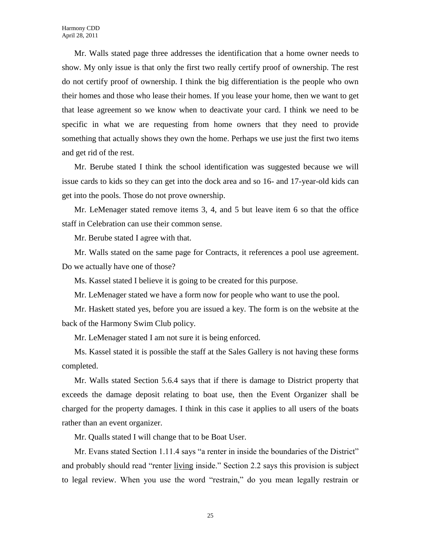Mr. Walls stated page three addresses the identification that a home owner needs to show. My only issue is that only the first two really certify proof of ownership. The rest do not certify proof of ownership. I think the big differentiation is the people who own their homes and those who lease their homes. If you lease your home, then we want to get that lease agreement so we know when to deactivate your card. I think we need to be specific in what we are requesting from home owners that they need to provide something that actually shows they own the home. Perhaps we use just the first two items and get rid of the rest.

Mr. Berube stated I think the school identification was suggested because we will issue cards to kids so they can get into the dock area and so 16- and 17-year-old kids can get into the pools. Those do not prove ownership.

Mr. LeMenager stated remove items 3, 4, and 5 but leave item 6 so that the office staff in Celebration can use their common sense.

Mr. Berube stated I agree with that.

Mr. Walls stated on the same page for Contracts, it references a pool use agreement. Do we actually have one of those?

Ms. Kassel stated I believe it is going to be created for this purpose.

Mr. LeMenager stated we have a form now for people who want to use the pool.

Mr. Haskett stated yes, before you are issued a key. The form is on the website at the back of the Harmony Swim Club policy.

Mr. LeMenager stated I am not sure it is being enforced.

Ms. Kassel stated it is possible the staff at the Sales Gallery is not having these forms completed.

Mr. Walls stated Section 5.6.4 says that if there is damage to District property that exceeds the damage deposit relating to boat use, then the Event Organizer shall be charged for the property damages. I think in this case it applies to all users of the boats rather than an event organizer.

Mr. Qualls stated I will change that to be Boat User.

Mr. Evans stated Section 1.11.4 says "a renter in inside the boundaries of the District" and probably should read "renter living inside." Section 2.2 says this provision is subject to legal review. When you use the word "restrain," do you mean legally restrain or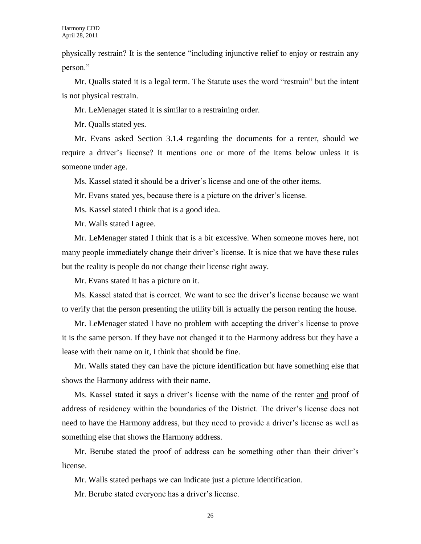physically restrain? It is the sentence "including injunctive relief to enjoy or restrain any person."

Mr. Qualls stated it is a legal term. The Statute uses the word "restrain" but the intent is not physical restrain.

Mr. LeMenager stated it is similar to a restraining order.

Mr. Qualls stated yes.

Mr. Evans asked Section 3.1.4 regarding the documents for a renter, should we require a driver's license? It mentions one or more of the items below unless it is someone under age.

Ms. Kassel stated it should be a driver's license and one of the other items.

Mr. Evans stated yes, because there is a picture on the driver's license.

Ms. Kassel stated I think that is a good idea.

Mr. Walls stated I agree.

Mr. LeMenager stated I think that is a bit excessive. When someone moves here, not many people immediately change their driver's license. It is nice that we have these rules but the reality is people do not change their license right away.

Mr. Evans stated it has a picture on it.

Ms. Kassel stated that is correct. We want to see the driver's license because we want to verify that the person presenting the utility bill is actually the person renting the house.

Mr. LeMenager stated I have no problem with accepting the driver's license to prove it is the same person. If they have not changed it to the Harmony address but they have a lease with their name on it, I think that should be fine.

Mr. Walls stated they can have the picture identification but have something else that shows the Harmony address with their name.

Ms. Kassel stated it says a driver's license with the name of the renter and proof of address of residency within the boundaries of the District. The driver's license does not need to have the Harmony address, but they need to provide a driver's license as well as something else that shows the Harmony address.

Mr. Berube stated the proof of address can be something other than their driver's license.

Mr. Walls stated perhaps we can indicate just a picture identification.

Mr. Berube stated everyone has a driver's license.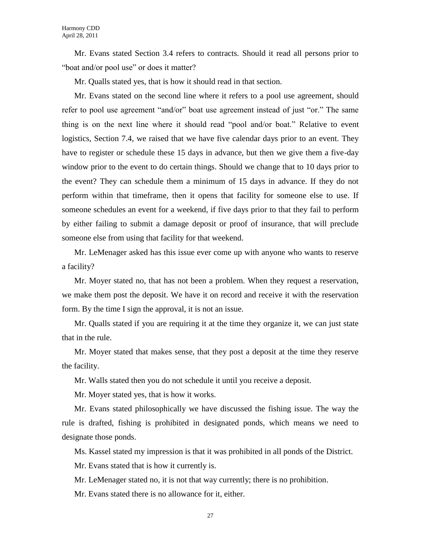Mr. Evans stated Section 3.4 refers to contracts. Should it read all persons prior to "boat and/or pool use" or does it matter?

Mr. Qualls stated yes, that is how it should read in that section.

Mr. Evans stated on the second line where it refers to a pool use agreement, should refer to pool use agreement "and/or" boat use agreement instead of just "or." The same thing is on the next line where it should read "pool and/or boat." Relative to event logistics, Section 7.4, we raised that we have five calendar days prior to an event. They have to register or schedule these 15 days in advance, but then we give them a five-day window prior to the event to do certain things. Should we change that to 10 days prior to the event? They can schedule them a minimum of 15 days in advance. If they do not perform within that timeframe, then it opens that facility for someone else to use. If someone schedules an event for a weekend, if five days prior to that they fail to perform by either failing to submit a damage deposit or proof of insurance, that will preclude someone else from using that facility for that weekend.

Mr. LeMenager asked has this issue ever come up with anyone who wants to reserve a facility?

Mr. Moyer stated no, that has not been a problem. When they request a reservation, we make them post the deposit. We have it on record and receive it with the reservation form. By the time I sign the approval, it is not an issue.

Mr. Qualls stated if you are requiring it at the time they organize it, we can just state that in the rule.

Mr. Moyer stated that makes sense, that they post a deposit at the time they reserve the facility.

Mr. Walls stated then you do not schedule it until you receive a deposit.

Mr. Moyer stated yes, that is how it works.

Mr. Evans stated philosophically we have discussed the fishing issue. The way the rule is drafted, fishing is prohibited in designated ponds, which means we need to designate those ponds.

Ms. Kassel stated my impression is that it was prohibited in all ponds of the District.

Mr. Evans stated that is how it currently is.

Mr. LeMenager stated no, it is not that way currently; there is no prohibition.

Mr. Evans stated there is no allowance for it, either.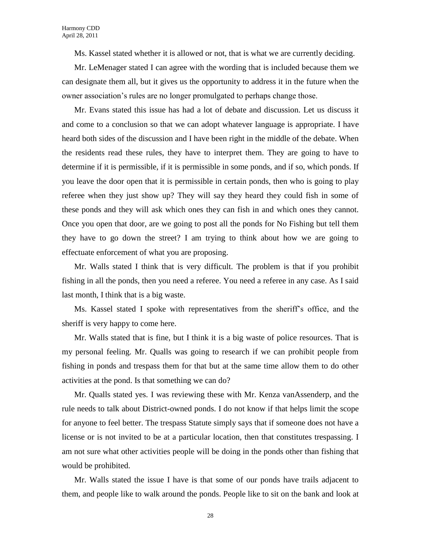Ms. Kassel stated whether it is allowed or not, that is what we are currently deciding.

Mr. LeMenager stated I can agree with the wording that is included because them we can designate them all, but it gives us the opportunity to address it in the future when the owner association's rules are no longer promulgated to perhaps change those.

Mr. Evans stated this issue has had a lot of debate and discussion. Let us discuss it and come to a conclusion so that we can adopt whatever language is appropriate. I have heard both sides of the discussion and I have been right in the middle of the debate. When the residents read these rules, they have to interpret them. They are going to have to determine if it is permissible, if it is permissible in some ponds, and if so, which ponds. If you leave the door open that it is permissible in certain ponds, then who is going to play referee when they just show up? They will say they heard they could fish in some of these ponds and they will ask which ones they can fish in and which ones they cannot. Once you open that door, are we going to post all the ponds for No Fishing but tell them they have to go down the street? I am trying to think about how we are going to effectuate enforcement of what you are proposing.

Mr. Walls stated I think that is very difficult. The problem is that if you prohibit fishing in all the ponds, then you need a referee. You need a referee in any case. As I said last month, I think that is a big waste.

Ms. Kassel stated I spoke with representatives from the sheriff's office, and the sheriff is very happy to come here.

Mr. Walls stated that is fine, but I think it is a big waste of police resources. That is my personal feeling. Mr. Qualls was going to research if we can prohibit people from fishing in ponds and trespass them for that but at the same time allow them to do other activities at the pond. Is that something we can do?

Mr. Qualls stated yes. I was reviewing these with Mr. Kenza vanAssenderp, and the rule needs to talk about District-owned ponds. I do not know if that helps limit the scope for anyone to feel better. The trespass Statute simply says that if someone does not have a license or is not invited to be at a particular location, then that constitutes trespassing. I am not sure what other activities people will be doing in the ponds other than fishing that would be prohibited.

Mr. Walls stated the issue I have is that some of our ponds have trails adjacent to them, and people like to walk around the ponds. People like to sit on the bank and look at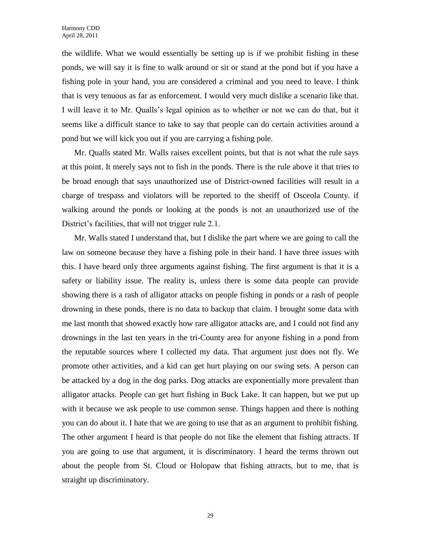the wildlife. What we would essentially be setting up is if we prohibit fishing in these ponds, we will say it is fine to walk around or sit or stand at the pond but if you have a fishing pole in your hand, you are considered a criminal and you need to leave. I think that is very tenuous as far as enforcement. I would very much dislike a scenario like that. I will leave it to Mr. Qualls's legal opinion as to whether or not we can do that, but it seems like a difficult stance to take to say that people can do certain activities around a pond but we will kick you out if you are carrying a fishing pole.

Mr. Qualls stated Mr. Walls raises excellent points, but that is not what the rule says at this point. It merely says not to fish in the ponds. There is the rule above it that tries to be broad enough that says unauthorized use of District-owned facilities will result in a charge of trespass and violators will be reported to the sheriff of Osceola County. if walking around the ponds or looking at the ponds is not an unauthorized use of the District's facilities, that will not trigger rule 2.1.

Mr. Walls stated I understand that, but I dislike the part where we are going to call the law on someone because they have a fishing pole in their hand. I have three issues with this. I have heard only three arguments against fishing. The first argument is that it is a safety or liability issue. The reality is, unless there is some data people can provide showing there is a rash of alligator attacks on people fishing in ponds or a rash of people drowning in these ponds, there is no data to backup that claim. I brought some data with me last month that showed exactly how rare alligator attacks are, and I could not find any drownings in the last ten years in the tri-County area for anyone fishing in a pond from the reputable sources where I collected my data. That argument just does not fly. We promote other activities, and a kid can get hurt playing on our swing sets. A person can be attacked by a dog in the dog parks. Dog attacks are exponentially more prevalent than alligator attacks. People can get hurt fishing in Buck Lake. It can happen, but we put up with it because we ask people to use common sense. Things happen and there is nothing you can do about it. I hate that we are going to use that as an argument to prohibit fishing. The other argument I heard is that people do not like the element that fishing attracts. If you are going to use that argument, it is discriminatory. I heard the terms thrown out about the people from St. Cloud or Holopaw that fishing attracts, but to me, that is straight up discriminatory.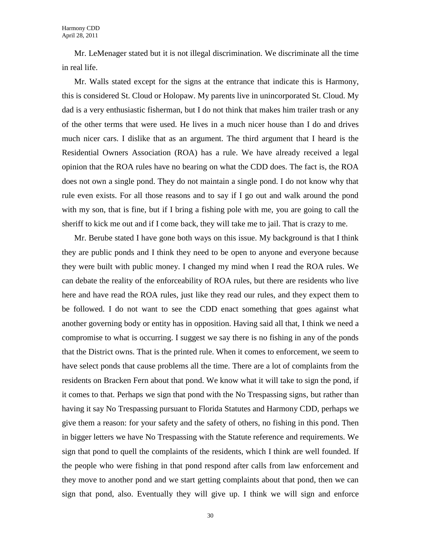Mr. LeMenager stated but it is not illegal discrimination. We discriminate all the time in real life.

Mr. Walls stated except for the signs at the entrance that indicate this is Harmony, this is considered St. Cloud or Holopaw. My parents live in unincorporated St. Cloud. My dad is a very enthusiastic fisherman, but I do not think that makes him trailer trash or any of the other terms that were used. He lives in a much nicer house than I do and drives much nicer cars. I dislike that as an argument. The third argument that I heard is the Residential Owners Association (ROA) has a rule. We have already received a legal opinion that the ROA rules have no bearing on what the CDD does. The fact is, the ROA does not own a single pond. They do not maintain a single pond. I do not know why that rule even exists. For all those reasons and to say if I go out and walk around the pond with my son, that is fine, but if I bring a fishing pole with me, you are going to call the sheriff to kick me out and if I come back, they will take me to jail. That is crazy to me.

Mr. Berube stated I have gone both ways on this issue. My background is that I think they are public ponds and I think they need to be open to anyone and everyone because they were built with public money. I changed my mind when I read the ROA rules. We can debate the reality of the enforceability of ROA rules, but there are residents who live here and have read the ROA rules, just like they read our rules, and they expect them to be followed. I do not want to see the CDD enact something that goes against what another governing body or entity has in opposition. Having said all that, I think we need a compromise to what is occurring. I suggest we say there is no fishing in any of the ponds that the District owns. That is the printed rule. When it comes to enforcement, we seem to have select ponds that cause problems all the time. There are a lot of complaints from the residents on Bracken Fern about that pond. We know what it will take to sign the pond, if it comes to that. Perhaps we sign that pond with the No Trespassing signs, but rather than having it say No Trespassing pursuant to Florida Statutes and Harmony CDD, perhaps we give them a reason: for your safety and the safety of others, no fishing in this pond. Then in bigger letters we have No Trespassing with the Statute reference and requirements. We sign that pond to quell the complaints of the residents, which I think are well founded. If the people who were fishing in that pond respond after calls from law enforcement and they move to another pond and we start getting complaints about that pond, then we can sign that pond, also. Eventually they will give up. I think we will sign and enforce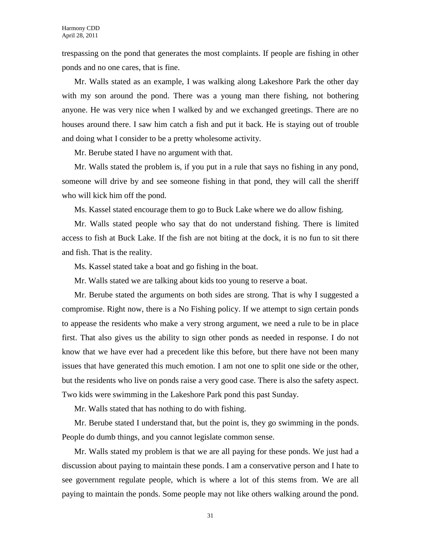trespassing on the pond that generates the most complaints. If people are fishing in other ponds and no one cares, that is fine.

Mr. Walls stated as an example, I was walking along Lakeshore Park the other day with my son around the pond. There was a young man there fishing, not bothering anyone. He was very nice when I walked by and we exchanged greetings. There are no houses around there. I saw him catch a fish and put it back. He is staying out of trouble and doing what I consider to be a pretty wholesome activity.

Mr. Berube stated I have no argument with that.

Mr. Walls stated the problem is, if you put in a rule that says no fishing in any pond, someone will drive by and see someone fishing in that pond, they will call the sheriff who will kick him off the pond.

Ms. Kassel stated encourage them to go to Buck Lake where we do allow fishing.

Mr. Walls stated people who say that do not understand fishing. There is limited access to fish at Buck Lake. If the fish are not biting at the dock, it is no fun to sit there and fish. That is the reality.

Ms. Kassel stated take a boat and go fishing in the boat.

Mr. Walls stated we are talking about kids too young to reserve a boat.

Mr. Berube stated the arguments on both sides are strong. That is why I suggested a compromise. Right now, there is a No Fishing policy. If we attempt to sign certain ponds to appease the residents who make a very strong argument, we need a rule to be in place first. That also gives us the ability to sign other ponds as needed in response. I do not know that we have ever had a precedent like this before, but there have not been many issues that have generated this much emotion. I am not one to split one side or the other, but the residents who live on ponds raise a very good case. There is also the safety aspect. Two kids were swimming in the Lakeshore Park pond this past Sunday.

Mr. Walls stated that has nothing to do with fishing.

Mr. Berube stated I understand that, but the point is, they go swimming in the ponds. People do dumb things, and you cannot legislate common sense.

Mr. Walls stated my problem is that we are all paying for these ponds. We just had a discussion about paying to maintain these ponds. I am a conservative person and I hate to see government regulate people, which is where a lot of this stems from. We are all paying to maintain the ponds. Some people may not like others walking around the pond.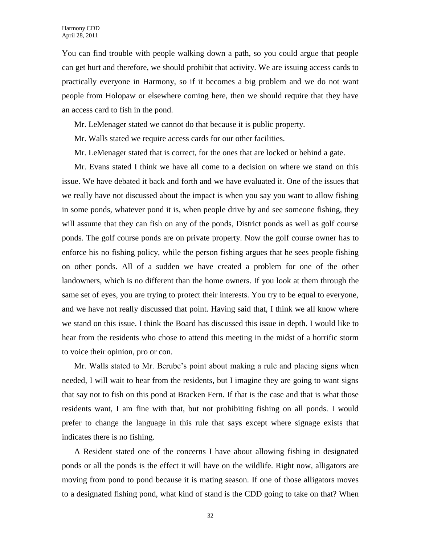You can find trouble with people walking down a path, so you could argue that people can get hurt and therefore, we should prohibit that activity. We are issuing access cards to practically everyone in Harmony, so if it becomes a big problem and we do not want people from Holopaw or elsewhere coming here, then we should require that they have an access card to fish in the pond.

- Mr. LeMenager stated we cannot do that because it is public property.
- Mr. Walls stated we require access cards for our other facilities.
- Mr. LeMenager stated that is correct, for the ones that are locked or behind a gate.

Mr. Evans stated I think we have all come to a decision on where we stand on this issue. We have debated it back and forth and we have evaluated it. One of the issues that we really have not discussed about the impact is when you say you want to allow fishing in some ponds, whatever pond it is, when people drive by and see someone fishing, they will assume that they can fish on any of the ponds, District ponds as well as golf course ponds. The golf course ponds are on private property. Now the golf course owner has to enforce his no fishing policy, while the person fishing argues that he sees people fishing on other ponds. All of a sudden we have created a problem for one of the other landowners, which is no different than the home owners. If you look at them through the same set of eyes, you are trying to protect their interests. You try to be equal to everyone, and we have not really discussed that point. Having said that, I think we all know where we stand on this issue. I think the Board has discussed this issue in depth. I would like to hear from the residents who chose to attend this meeting in the midst of a horrific storm to voice their opinion, pro or con.

Mr. Walls stated to Mr. Berube's point about making a rule and placing signs when needed, I will wait to hear from the residents, but I imagine they are going to want signs that say not to fish on this pond at Bracken Fern. If that is the case and that is what those residents want, I am fine with that, but not prohibiting fishing on all ponds. I would prefer to change the language in this rule that says except where signage exists that indicates there is no fishing.

A Resident stated one of the concerns I have about allowing fishing in designated ponds or all the ponds is the effect it will have on the wildlife. Right now, alligators are moving from pond to pond because it is mating season. If one of those alligators moves to a designated fishing pond, what kind of stand is the CDD going to take on that? When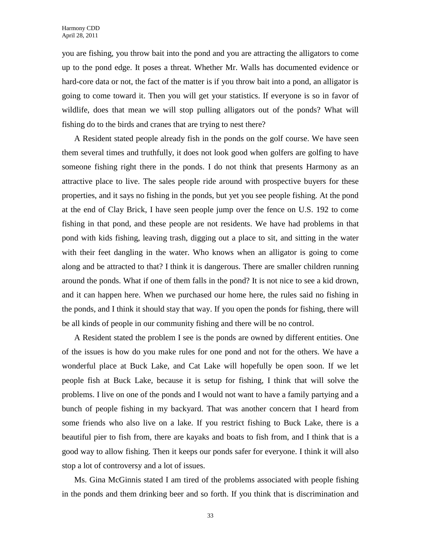you are fishing, you throw bait into the pond and you are attracting the alligators to come up to the pond edge. It poses a threat. Whether Mr. Walls has documented evidence or hard-core data or not, the fact of the matter is if you throw bait into a pond, an alligator is going to come toward it. Then you will get your statistics. If everyone is so in favor of wildlife, does that mean we will stop pulling alligators out of the ponds? What will fishing do to the birds and cranes that are trying to nest there?

A Resident stated people already fish in the ponds on the golf course. We have seen them several times and truthfully, it does not look good when golfers are golfing to have someone fishing right there in the ponds. I do not think that presents Harmony as an attractive place to live. The sales people ride around with prospective buyers for these properties, and it says no fishing in the ponds, but yet you see people fishing. At the pond at the end of Clay Brick, I have seen people jump over the fence on U.S. 192 to come fishing in that pond, and these people are not residents. We have had problems in that pond with kids fishing, leaving trash, digging out a place to sit, and sitting in the water with their feet dangling in the water. Who knows when an alligator is going to come along and be attracted to that? I think it is dangerous. There are smaller children running around the ponds. What if one of them falls in the pond? It is not nice to see a kid drown, and it can happen here. When we purchased our home here, the rules said no fishing in the ponds, and I think it should stay that way. If you open the ponds for fishing, there will be all kinds of people in our community fishing and there will be no control.

A Resident stated the problem I see is the ponds are owned by different entities. One of the issues is how do you make rules for one pond and not for the others. We have a wonderful place at Buck Lake, and Cat Lake will hopefully be open soon. If we let people fish at Buck Lake, because it is setup for fishing, I think that will solve the problems. I live on one of the ponds and I would not want to have a family partying and a bunch of people fishing in my backyard. That was another concern that I heard from some friends who also live on a lake. If you restrict fishing to Buck Lake, there is a beautiful pier to fish from, there are kayaks and boats to fish from, and I think that is a good way to allow fishing. Then it keeps our ponds safer for everyone. I think it will also stop a lot of controversy and a lot of issues.

Ms. Gina McGinnis stated I am tired of the problems associated with people fishing in the ponds and them drinking beer and so forth. If you think that is discrimination and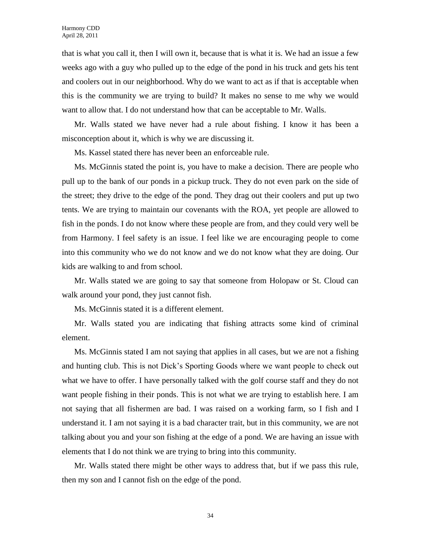that is what you call it, then I will own it, because that is what it is. We had an issue a few weeks ago with a guy who pulled up to the edge of the pond in his truck and gets his tent and coolers out in our neighborhood. Why do we want to act as if that is acceptable when this is the community we are trying to build? It makes no sense to me why we would want to allow that. I do not understand how that can be acceptable to Mr. Walls.

Mr. Walls stated we have never had a rule about fishing. I know it has been a misconception about it, which is why we are discussing it.

Ms. Kassel stated there has never been an enforceable rule.

Ms. McGinnis stated the point is, you have to make a decision. There are people who pull up to the bank of our ponds in a pickup truck. They do not even park on the side of the street; they drive to the edge of the pond. They drag out their coolers and put up two tents. We are trying to maintain our covenants with the ROA, yet people are allowed to fish in the ponds. I do not know where these people are from, and they could very well be from Harmony. I feel safety is an issue. I feel like we are encouraging people to come into this community who we do not know and we do not know what they are doing. Our kids are walking to and from school.

Mr. Walls stated we are going to say that someone from Holopaw or St. Cloud can walk around your pond, they just cannot fish.

Ms. McGinnis stated it is a different element.

Mr. Walls stated you are indicating that fishing attracts some kind of criminal element.

Ms. McGinnis stated I am not saying that applies in all cases, but we are not a fishing and hunting club. This is not Dick's Sporting Goods where we want people to check out what we have to offer. I have personally talked with the golf course staff and they do not want people fishing in their ponds. This is not what we are trying to establish here. I am not saying that all fishermen are bad. I was raised on a working farm, so I fish and I understand it. I am not saying it is a bad character trait, but in this community, we are not talking about you and your son fishing at the edge of a pond. We are having an issue with elements that I do not think we are trying to bring into this community.

Mr. Walls stated there might be other ways to address that, but if we pass this rule, then my son and I cannot fish on the edge of the pond.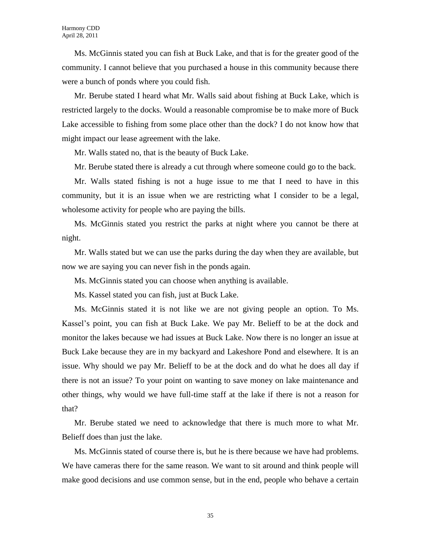Ms. McGinnis stated you can fish at Buck Lake, and that is for the greater good of the community. I cannot believe that you purchased a house in this community because there were a bunch of ponds where you could fish.

Mr. Berube stated I heard what Mr. Walls said about fishing at Buck Lake, which is restricted largely to the docks. Would a reasonable compromise be to make more of Buck Lake accessible to fishing from some place other than the dock? I do not know how that might impact our lease agreement with the lake.

Mr. Walls stated no, that is the beauty of Buck Lake.

Mr. Berube stated there is already a cut through where someone could go to the back.

Mr. Walls stated fishing is not a huge issue to me that I need to have in this community, but it is an issue when we are restricting what I consider to be a legal, wholesome activity for people who are paying the bills.

Ms. McGinnis stated you restrict the parks at night where you cannot be there at night.

Mr. Walls stated but we can use the parks during the day when they are available, but now we are saying you can never fish in the ponds again.

Ms. McGinnis stated you can choose when anything is available.

Ms. Kassel stated you can fish, just at Buck Lake.

Ms. McGinnis stated it is not like we are not giving people an option. To Ms. Kassel's point, you can fish at Buck Lake. We pay Mr. Belieff to be at the dock and monitor the lakes because we had issues at Buck Lake. Now there is no longer an issue at Buck Lake because they are in my backyard and Lakeshore Pond and elsewhere. It is an issue. Why should we pay Mr. Belieff to be at the dock and do what he does all day if there is not an issue? To your point on wanting to save money on lake maintenance and other things, why would we have full-time staff at the lake if there is not a reason for that?

Mr. Berube stated we need to acknowledge that there is much more to what Mr. Belieff does than just the lake.

Ms. McGinnis stated of course there is, but he is there because we have had problems. We have cameras there for the same reason. We want to sit around and think people will make good decisions and use common sense, but in the end, people who behave a certain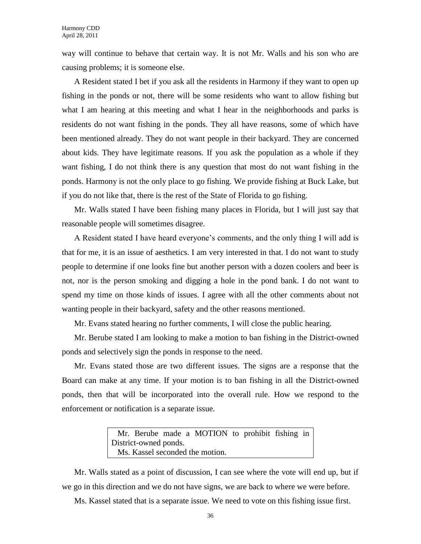way will continue to behave that certain way. It is not Mr. Walls and his son who are causing problems; it is someone else.

A Resident stated I bet if you ask all the residents in Harmony if they want to open up fishing in the ponds or not, there will be some residents who want to allow fishing but what I am hearing at this meeting and what I hear in the neighborhoods and parks is residents do not want fishing in the ponds. They all have reasons, some of which have been mentioned already. They do not want people in their backyard. They are concerned about kids. They have legitimate reasons. If you ask the population as a whole if they want fishing, I do not think there is any question that most do not want fishing in the ponds. Harmony is not the only place to go fishing. We provide fishing at Buck Lake, but if you do not like that, there is the rest of the State of Florida to go fishing.

Mr. Walls stated I have been fishing many places in Florida, but I will just say that reasonable people will sometimes disagree.

A Resident stated I have heard everyone's comments, and the only thing I will add is that for me, it is an issue of aesthetics. I am very interested in that. I do not want to study people to determine if one looks fine but another person with a dozen coolers and beer is not, nor is the person smoking and digging a hole in the pond bank. I do not want to spend my time on those kinds of issues. I agree with all the other comments about not wanting people in their backyard, safety and the other reasons mentioned.

Mr. Evans stated hearing no further comments, I will close the public hearing.

Mr. Berube stated I am looking to make a motion to ban fishing in the District-owned ponds and selectively sign the ponds in response to the need.

Mr. Evans stated those are two different issues. The signs are a response that the Board can make at any time. If your motion is to ban fishing in all the District-owned ponds, then that will be incorporated into the overall rule. How we respond to the enforcement or notification is a separate issue.

> Mr. Berube made a MOTION to prohibit fishing in District-owned ponds. Ms. Kassel seconded the motion.

Mr. Walls stated as a point of discussion, I can see where the vote will end up, but if we go in this direction and we do not have signs, we are back to where we were before.

Ms. Kassel stated that is a separate issue. We need to vote on this fishing issue first.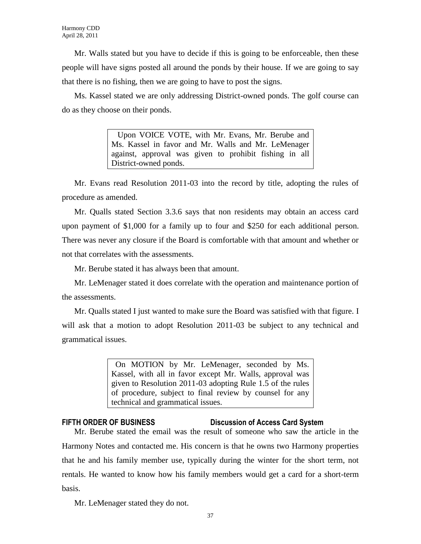Mr. Walls stated but you have to decide if this is going to be enforceable, then these people will have signs posted all around the ponds by their house. If we are going to say that there is no fishing, then we are going to have to post the signs.

Ms. Kassel stated we are only addressing District-owned ponds. The golf course can do as they choose on their ponds.

> Upon VOICE VOTE, with Mr. Evans, Mr. Berube and Ms. Kassel in favor and Mr. Walls and Mr. LeMenager against, approval was given to prohibit fishing in all District-owned ponds.

Mr. Evans read Resolution 2011-03 into the record by title, adopting the rules of procedure as amended.

Mr. Qualls stated Section 3.3.6 says that non residents may obtain an access card upon payment of \$1,000 for a family up to four and \$250 for each additional person. There was never any closure if the Board is comfortable with that amount and whether or not that correlates with the assessments.

Mr. Berube stated it has always been that amount.

Mr. LeMenager stated it does correlate with the operation and maintenance portion of the assessments.

Mr. Qualls stated I just wanted to make sure the Board was satisfied with that figure. I will ask that a motion to adopt Resolution 2011-03 be subject to any technical and grammatical issues.

> On MOTION by Mr. LeMenager, seconded by Ms. Kassel, with all in favor except Mr. Walls, approval was given to Resolution 2011-03 adopting Rule 1.5 of the rules of procedure, subject to final review by counsel for any technical and grammatical issues.

# **FIFTH ORDER OF BUSINESS Discussion of Access Card System**

Mr. Berube stated the email was the result of someone who saw the article in the Harmony Notes and contacted me. His concern is that he owns two Harmony properties that he and his family member use, typically during the winter for the short term, not rentals. He wanted to know how his family members would get a card for a short-term basis.

Mr. LeMenager stated they do not.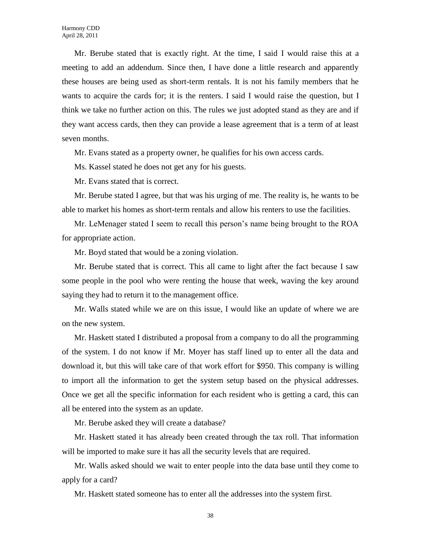Mr. Berube stated that is exactly right. At the time, I said I would raise this at a meeting to add an addendum. Since then, I have done a little research and apparently these houses are being used as short-term rentals. It is not his family members that he wants to acquire the cards for; it is the renters. I said I would raise the question, but I think we take no further action on this. The rules we just adopted stand as they are and if they want access cards, then they can provide a lease agreement that is a term of at least seven months.

Mr. Evans stated as a property owner, he qualifies for his own access cards.

Ms. Kassel stated he does not get any for his guests.

Mr. Evans stated that is correct.

Mr. Berube stated I agree, but that was his urging of me. The reality is, he wants to be able to market his homes as short-term rentals and allow his renters to use the facilities.

Mr. LeMenager stated I seem to recall this person's name being brought to the ROA for appropriate action.

Mr. Boyd stated that would be a zoning violation.

Mr. Berube stated that is correct. This all came to light after the fact because I saw some people in the pool who were renting the house that week, waving the key around saying they had to return it to the management office.

Mr. Walls stated while we are on this issue, I would like an update of where we are on the new system.

Mr. Haskett stated I distributed a proposal from a company to do all the programming of the system. I do not know if Mr. Moyer has staff lined up to enter all the data and download it, but this will take care of that work effort for \$950. This company is willing to import all the information to get the system setup based on the physical addresses. Once we get all the specific information for each resident who is getting a card, this can all be entered into the system as an update.

Mr. Berube asked they will create a database?

Mr. Haskett stated it has already been created through the tax roll. That information will be imported to make sure it has all the security levels that are required.

Mr. Walls asked should we wait to enter people into the data base until they come to apply for a card?

Mr. Haskett stated someone has to enter all the addresses into the system first.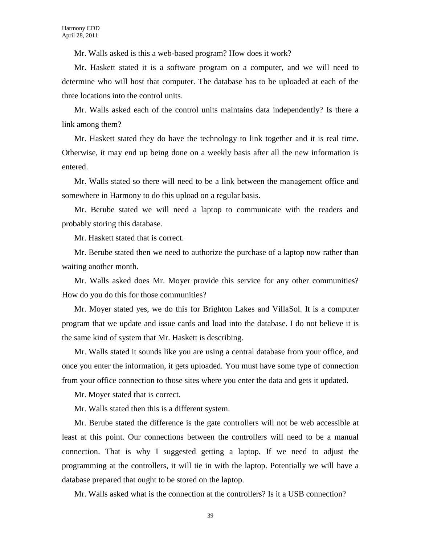Mr. Walls asked is this a web-based program? How does it work?

Mr. Haskett stated it is a software program on a computer, and we will need to determine who will host that computer. The database has to be uploaded at each of the three locations into the control units.

Mr. Walls asked each of the control units maintains data independently? Is there a link among them?

Mr. Haskett stated they do have the technology to link together and it is real time. Otherwise, it may end up being done on a weekly basis after all the new information is entered.

Mr. Walls stated so there will need to be a link between the management office and somewhere in Harmony to do this upload on a regular basis.

Mr. Berube stated we will need a laptop to communicate with the readers and probably storing this database.

Mr. Haskett stated that is correct.

Mr. Berube stated then we need to authorize the purchase of a laptop now rather than waiting another month.

Mr. Walls asked does Mr. Moyer provide this service for any other communities? How do you do this for those communities?

Mr. Moyer stated yes, we do this for Brighton Lakes and VillaSol. It is a computer program that we update and issue cards and load into the database. I do not believe it is the same kind of system that Mr. Haskett is describing.

Mr. Walls stated it sounds like you are using a central database from your office, and once you enter the information, it gets uploaded. You must have some type of connection from your office connection to those sites where you enter the data and gets it updated.

Mr. Moyer stated that is correct.

Mr. Walls stated then this is a different system.

Mr. Berube stated the difference is the gate controllers will not be web accessible at least at this point. Our connections between the controllers will need to be a manual connection. That is why I suggested getting a laptop. If we need to adjust the programming at the controllers, it will tie in with the laptop. Potentially we will have a database prepared that ought to be stored on the laptop.

Mr. Walls asked what is the connection at the controllers? Is it a USB connection?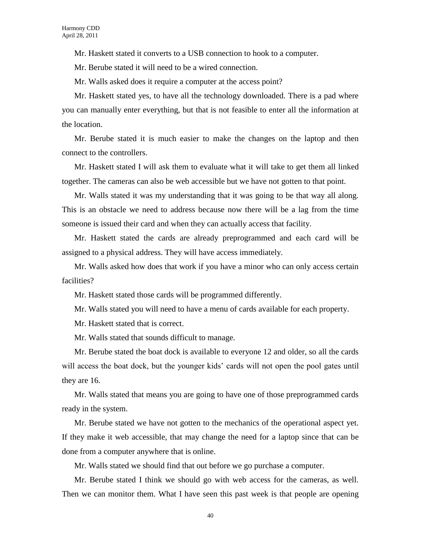Mr. Haskett stated it converts to a USB connection to hook to a computer.

Mr. Berube stated it will need to be a wired connection.

Mr. Walls asked does it require a computer at the access point?

Mr. Haskett stated yes, to have all the technology downloaded. There is a pad where you can manually enter everything, but that is not feasible to enter all the information at the location.

Mr. Berube stated it is much easier to make the changes on the laptop and then connect to the controllers.

Mr. Haskett stated I will ask them to evaluate what it will take to get them all linked together. The cameras can also be web accessible but we have not gotten to that point.

Mr. Walls stated it was my understanding that it was going to be that way all along. This is an obstacle we need to address because now there will be a lag from the time someone is issued their card and when they can actually access that facility.

Mr. Haskett stated the cards are already preprogrammed and each card will be assigned to a physical address. They will have access immediately.

Mr. Walls asked how does that work if you have a minor who can only access certain facilities?

Mr. Haskett stated those cards will be programmed differently.

Mr. Walls stated you will need to have a menu of cards available for each property.

Mr. Haskett stated that is correct.

Mr. Walls stated that sounds difficult to manage.

Mr. Berube stated the boat dock is available to everyone 12 and older, so all the cards will access the boat dock, but the younger kids' cards will not open the pool gates until they are 16.

Mr. Walls stated that means you are going to have one of those preprogrammed cards ready in the system.

Mr. Berube stated we have not gotten to the mechanics of the operational aspect yet. If they make it web accessible, that may change the need for a laptop since that can be done from a computer anywhere that is online.

Mr. Walls stated we should find that out before we go purchase a computer.

Mr. Berube stated I think we should go with web access for the cameras, as well. Then we can monitor them. What I have seen this past week is that people are opening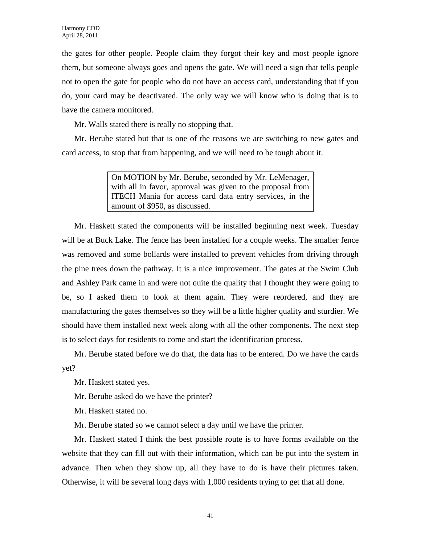the gates for other people. People claim they forgot their key and most people ignore them, but someone always goes and opens the gate. We will need a sign that tells people not to open the gate for people who do not have an access card, understanding that if you do, your card may be deactivated. The only way we will know who is doing that is to have the camera monitored.

Mr. Walls stated there is really no stopping that.

Mr. Berube stated but that is one of the reasons we are switching to new gates and card access, to stop that from happening, and we will need to be tough about it.

> On MOTION by Mr. Berube, seconded by Mr. LeMenager, with all in favor, approval was given to the proposal from ITECH Mania for access card data entry services, in the amount of \$950, as discussed.

Mr. Haskett stated the components will be installed beginning next week. Tuesday will be at Buck Lake. The fence has been installed for a couple weeks. The smaller fence was removed and some bollards were installed to prevent vehicles from driving through the pine trees down the pathway. It is a nice improvement. The gates at the Swim Club and Ashley Park came in and were not quite the quality that I thought they were going to be, so I asked them to look at them again. They were reordered, and they are manufacturing the gates themselves so they will be a little higher quality and sturdier. We should have them installed next week along with all the other components. The next step is to select days for residents to come and start the identification process.

Mr. Berube stated before we do that, the data has to be entered. Do we have the cards yet?

Mr. Haskett stated yes.

Mr. Berube asked do we have the printer?

Mr. Haskett stated no.

Mr. Berube stated so we cannot select a day until we have the printer.

Mr. Haskett stated I think the best possible route is to have forms available on the website that they can fill out with their information, which can be put into the system in advance. Then when they show up, all they have to do is have their pictures taken. Otherwise, it will be several long days with 1,000 residents trying to get that all done.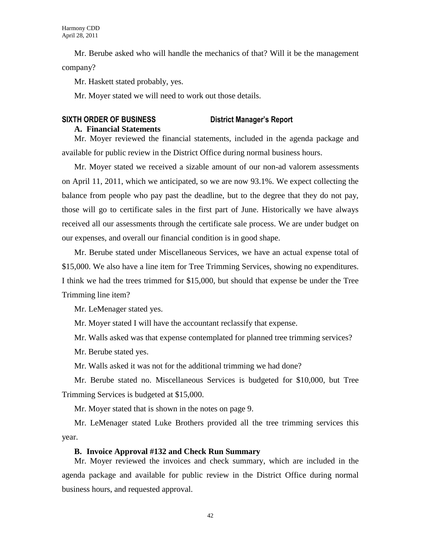Mr. Berube asked who will handle the mechanics of that? Will it be the management company?

Mr. Haskett stated probably, yes.

Mr. Moyer stated we will need to work out those details.

# **SIXTH ORDER OF BUSINESS District Manager's Report A. Financial Statements**

Mr. Moyer reviewed the financial statements, included in the agenda package and available for public review in the District Office during normal business hours.

Mr. Moyer stated we received a sizable amount of our non-ad valorem assessments on April 11, 2011, which we anticipated, so we are now 93.1%. We expect collecting the balance from people who pay past the deadline, but to the degree that they do not pay, those will go to certificate sales in the first part of June. Historically we have always received all our assessments through the certificate sale process. We are under budget on our expenses, and overall our financial condition is in good shape.

Mr. Berube stated under Miscellaneous Services, we have an actual expense total of \$15,000. We also have a line item for Tree Trimming Services, showing no expenditures. I think we had the trees trimmed for \$15,000, but should that expense be under the Tree Trimming line item?

Mr. LeMenager stated yes.

Mr. Moyer stated I will have the accountant reclassify that expense.

Mr. Walls asked was that expense contemplated for planned tree trimming services?

Mr. Berube stated yes.

Mr. Walls asked it was not for the additional trimming we had done?

Mr. Berube stated no. Miscellaneous Services is budgeted for \$10,000, but Tree Trimming Services is budgeted at \$15,000.

Mr. Moyer stated that is shown in the notes on page 9.

Mr. LeMenager stated Luke Brothers provided all the tree trimming services this year.

### **B. Invoice Approval #132 and Check Run Summary**

Mr. Moyer reviewed the invoices and check summary, which are included in the agenda package and available for public review in the District Office during normal business hours, and requested approval.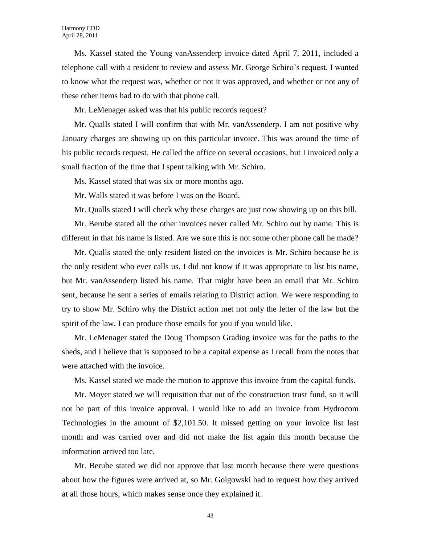Ms. Kassel stated the Young vanAssenderp invoice dated April 7, 2011, included a telephone call with a resident to review and assess Mr. George Schiro's request. I wanted to know what the request was, whether or not it was approved, and whether or not any of these other items had to do with that phone call.

Mr. LeMenager asked was that his public records request?

Mr. Qualls stated I will confirm that with Mr. vanAssenderp. I am not positive why January charges are showing up on this particular invoice. This was around the time of his public records request. He called the office on several occasions, but I invoiced only a small fraction of the time that I spent talking with Mr. Schiro.

Ms. Kassel stated that was six or more months ago.

Mr. Walls stated it was before I was on the Board.

Mr. Qualls stated I will check why these charges are just now showing up on this bill.

Mr. Berube stated all the other invoices never called Mr. Schiro out by name. This is different in that his name is listed. Are we sure this is not some other phone call he made?

Mr. Qualls stated the only resident listed on the invoices is Mr. Schiro because he is the only resident who ever calls us. I did not know if it was appropriate to list his name, but Mr. vanAssenderp listed his name. That might have been an email that Mr. Schiro sent, because he sent a series of emails relating to District action. We were responding to try to show Mr. Schiro why the District action met not only the letter of the law but the spirit of the law. I can produce those emails for you if you would like.

Mr. LeMenager stated the Doug Thompson Grading invoice was for the paths to the sheds, and I believe that is supposed to be a capital expense as I recall from the notes that were attached with the invoice.

Ms. Kassel stated we made the motion to approve this invoice from the capital funds.

Mr. Moyer stated we will requisition that out of the construction trust fund, so it will not be part of this invoice approval. I would like to add an invoice from Hydrocom Technologies in the amount of \$2,101.50. It missed getting on your invoice list last month and was carried over and did not make the list again this month because the information arrived too late.

Mr. Berube stated we did not approve that last month because there were questions about how the figures were arrived at, so Mr. Golgowski had to request how they arrived at all those hours, which makes sense once they explained it.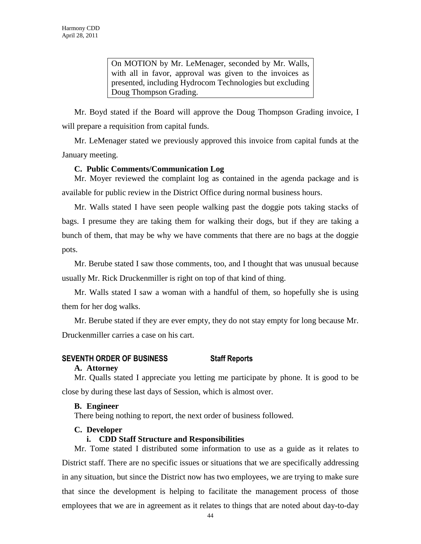On MOTION by Mr. LeMenager, seconded by Mr. Walls, with all in favor, approval was given to the invoices as presented, including Hydrocom Technologies but excluding Doug Thompson Grading.

Mr. Boyd stated if the Board will approve the Doug Thompson Grading invoice, I will prepare a requisition from capital funds.

Mr. LeMenager stated we previously approved this invoice from capital funds at the January meeting.

# **C. Public Comments/Communication Log**

Mr. Moyer reviewed the complaint log as contained in the agenda package and is available for public review in the District Office during normal business hours.

Mr. Walls stated I have seen people walking past the doggie pots taking stacks of bags. I presume they are taking them for walking their dogs, but if they are taking a bunch of them, that may be why we have comments that there are no bags at the doggie pots.

Mr. Berube stated I saw those comments, too, and I thought that was unusual because usually Mr. Rick Druckenmiller is right on top of that kind of thing.

Mr. Walls stated I saw a woman with a handful of them, so hopefully she is using them for her dog walks.

Mr. Berube stated if they are ever empty, they do not stay empty for long because Mr. Druckenmiller carries a case on his cart.

# **SEVENTH ORDER OF BUSINESS Staff Reports**

# **A. Attorney**

Mr. Qualls stated I appreciate you letting me participate by phone. It is good to be close by during these last days of Session, which is almost over.

# **B. Engineer**

There being nothing to report, the next order of business followed.

# **C. Developer**

# **i. CDD Staff Structure and Responsibilities**

Mr. Tome stated I distributed some information to use as a guide as it relates to District staff. There are no specific issues or situations that we are specifically addressing in any situation, but since the District now has two employees, we are trying to make sure that since the development is helping to facilitate the management process of those employees that we are in agreement as it relates to things that are noted about day-to-day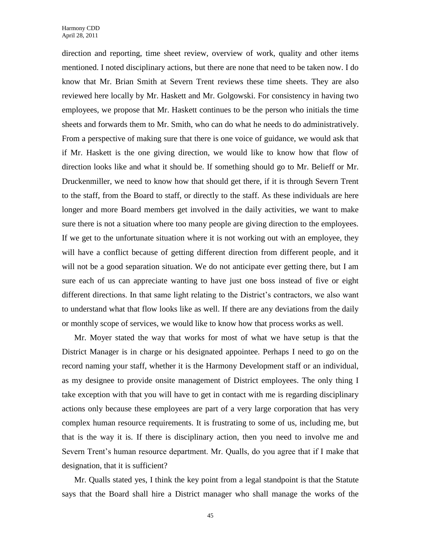direction and reporting, time sheet review, overview of work, quality and other items mentioned. I noted disciplinary actions, but there are none that need to be taken now. I do know that Mr. Brian Smith at Severn Trent reviews these time sheets. They are also reviewed here locally by Mr. Haskett and Mr. Golgowski. For consistency in having two employees, we propose that Mr. Haskett continues to be the person who initials the time sheets and forwards them to Mr. Smith, who can do what he needs to do administratively. From a perspective of making sure that there is one voice of guidance, we would ask that if Mr. Haskett is the one giving direction, we would like to know how that flow of direction looks like and what it should be. If something should go to Mr. Belieff or Mr. Druckenmiller, we need to know how that should get there, if it is through Severn Trent to the staff, from the Board to staff, or directly to the staff. As these individuals are here longer and more Board members get involved in the daily activities, we want to make sure there is not a situation where too many people are giving direction to the employees. If we get to the unfortunate situation where it is not working out with an employee, they will have a conflict because of getting different direction from different people, and it will not be a good separation situation. We do not anticipate ever getting there, but I am sure each of us can appreciate wanting to have just one boss instead of five or eight different directions. In that same light relating to the District's contractors, we also want to understand what that flow looks like as well. If there are any deviations from the daily or monthly scope of services, we would like to know how that process works as well.

Mr. Moyer stated the way that works for most of what we have setup is that the District Manager is in charge or his designated appointee. Perhaps I need to go on the record naming your staff, whether it is the Harmony Development staff or an individual, as my designee to provide onsite management of District employees. The only thing I take exception with that you will have to get in contact with me is regarding disciplinary actions only because these employees are part of a very large corporation that has very complex human resource requirements. It is frustrating to some of us, including me, but that is the way it is. If there is disciplinary action, then you need to involve me and Severn Trent's human resource department. Mr. Qualls, do you agree that if I make that designation, that it is sufficient?

Mr. Qualls stated yes, I think the key point from a legal standpoint is that the Statute says that the Board shall hire a District manager who shall manage the works of the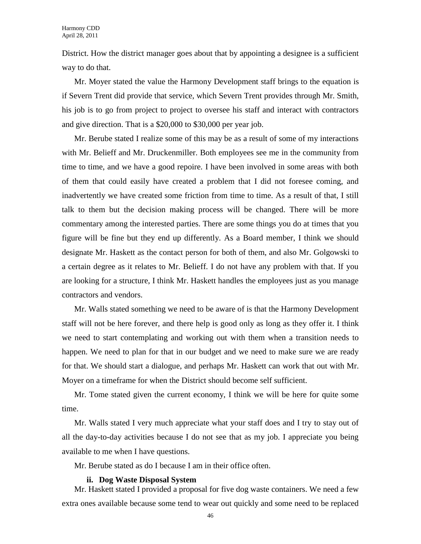District. How the district manager goes about that by appointing a designee is a sufficient way to do that.

Mr. Moyer stated the value the Harmony Development staff brings to the equation is if Severn Trent did provide that service, which Severn Trent provides through Mr. Smith, his job is to go from project to project to oversee his staff and interact with contractors and give direction. That is a \$20,000 to \$30,000 per year job.

Mr. Berube stated I realize some of this may be as a result of some of my interactions with Mr. Belieff and Mr. Druckenmiller. Both employees see me in the community from time to time, and we have a good repoire. I have been involved in some areas with both of them that could easily have created a problem that I did not foresee coming, and inadvertently we have created some friction from time to time. As a result of that, I still talk to them but the decision making process will be changed. There will be more commentary among the interested parties. There are some things you do at times that you figure will be fine but they end up differently. As a Board member, I think we should designate Mr. Haskett as the contact person for both of them, and also Mr. Golgowski to a certain degree as it relates to Mr. Belieff. I do not have any problem with that. If you are looking for a structure, I think Mr. Haskett handles the employees just as you manage contractors and vendors.

Mr. Walls stated something we need to be aware of is that the Harmony Development staff will not be here forever, and there help is good only as long as they offer it. I think we need to start contemplating and working out with them when a transition needs to happen. We need to plan for that in our budget and we need to make sure we are ready for that. We should start a dialogue, and perhaps Mr. Haskett can work that out with Mr. Moyer on a timeframe for when the District should become self sufficient.

Mr. Tome stated given the current economy, I think we will be here for quite some time.

Mr. Walls stated I very much appreciate what your staff does and I try to stay out of all the day-to-day activities because I do not see that as my job. I appreciate you being available to me when I have questions.

Mr. Berube stated as do I because I am in their office often.

### **ii. Dog Waste Disposal System**

Mr. Haskett stated I provided a proposal for five dog waste containers. We need a few extra ones available because some tend to wear out quickly and some need to be replaced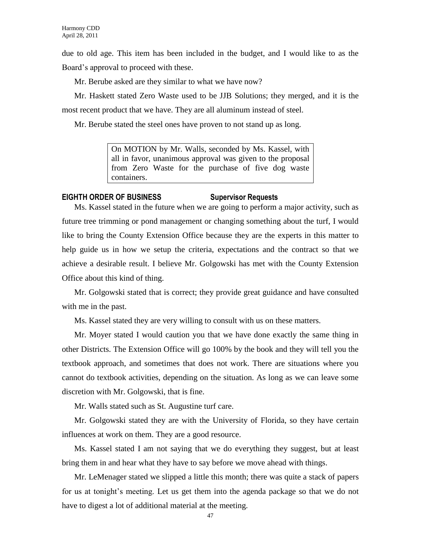due to old age. This item has been included in the budget, and I would like to as the Board's approval to proceed with these.

Mr. Berube asked are they similar to what we have now?

Mr. Haskett stated Zero Waste used to be JJB Solutions; they merged, and it is the most recent product that we have. They are all aluminum instead of steel.

Mr. Berube stated the steel ones have proven to not stand up as long.

On MOTION by Mr. Walls, seconded by Ms. Kassel, with all in favor, unanimous approval was given to the proposal from Zero Waste for the purchase of five dog waste containers.

# **EIGHTH ORDER OF BUSINESS Supervisor Requests**

Ms. Kassel stated in the future when we are going to perform a major activity, such as future tree trimming or pond management or changing something about the turf, I would like to bring the County Extension Office because they are the experts in this matter to help guide us in how we setup the criteria, expectations and the contract so that we achieve a desirable result. I believe Mr. Golgowski has met with the County Extension Office about this kind of thing.

Mr. Golgowski stated that is correct; they provide great guidance and have consulted with me in the past.

Ms. Kassel stated they are very willing to consult with us on these matters.

Mr. Moyer stated I would caution you that we have done exactly the same thing in other Districts. The Extension Office will go 100% by the book and they will tell you the textbook approach, and sometimes that does not work. There are situations where you cannot do textbook activities, depending on the situation. As long as we can leave some discretion with Mr. Golgowski, that is fine.

Mr. Walls stated such as St. Augustine turf care.

Mr. Golgowski stated they are with the University of Florida, so they have certain influences at work on them. They are a good resource.

Ms. Kassel stated I am not saying that we do everything they suggest, but at least bring them in and hear what they have to say before we move ahead with things.

Mr. LeMenager stated we slipped a little this month; there was quite a stack of papers for us at tonight's meeting. Let us get them into the agenda package so that we do not have to digest a lot of additional material at the meeting.

47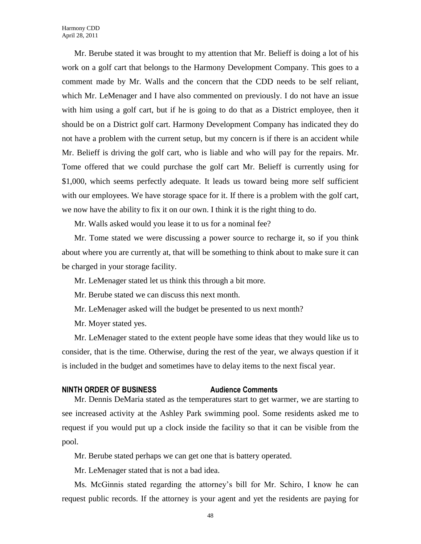Mr. Berube stated it was brought to my attention that Mr. Belieff is doing a lot of his work on a golf cart that belongs to the Harmony Development Company. This goes to a comment made by Mr. Walls and the concern that the CDD needs to be self reliant, which Mr. LeMenager and I have also commented on previously. I do not have an issue with him using a golf cart, but if he is going to do that as a District employee, then it should be on a District golf cart. Harmony Development Company has indicated they do not have a problem with the current setup, but my concern is if there is an accident while Mr. Belieff is driving the golf cart, who is liable and who will pay for the repairs. Mr. Tome offered that we could purchase the golf cart Mr. Belieff is currently using for \$1,000, which seems perfectly adequate. It leads us toward being more self sufficient with our employees. We have storage space for it. If there is a problem with the golf cart, we now have the ability to fix it on our own. I think it is the right thing to do.

Mr. Walls asked would you lease it to us for a nominal fee?

Mr. Tome stated we were discussing a power source to recharge it, so if you think about where you are currently at, that will be something to think about to make sure it can be charged in your storage facility.

Mr. LeMenager stated let us think this through a bit more.

Mr. Berube stated we can discuss this next month.

Mr. LeMenager asked will the budget be presented to us next month?

Mr. Moyer stated yes.

Mr. LeMenager stated to the extent people have some ideas that they would like us to consider, that is the time. Otherwise, during the rest of the year, we always question if it is included in the budget and sometimes have to delay items to the next fiscal year.

#### **NINTH ORDER OF BUSINESS Audience Comments**

Mr. Dennis DeMaria stated as the temperatures start to get warmer, we are starting to see increased activity at the Ashley Park swimming pool. Some residents asked me to request if you would put up a clock inside the facility so that it can be visible from the pool.

Mr. Berube stated perhaps we can get one that is battery operated.

Mr. LeMenager stated that is not a bad idea.

Ms. McGinnis stated regarding the attorney's bill for Mr. Schiro, I know he can request public records. If the attorney is your agent and yet the residents are paying for